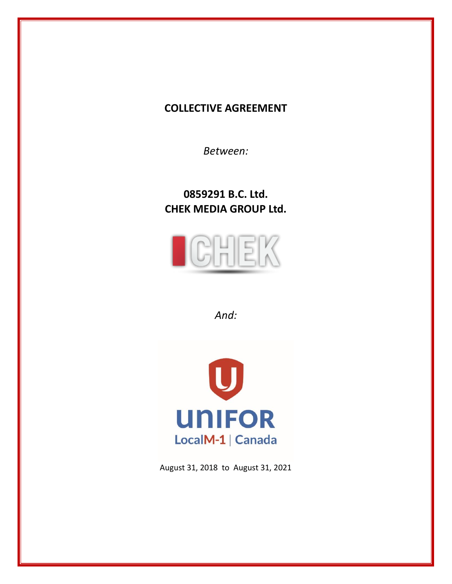# **COLLECTIVE AGREEMENT**

*Between:*

**0859291 B.C. Ltd. CHEK MEDIA GROUP Ltd.**



*And:*



August 31, 2018 to August 31, 2021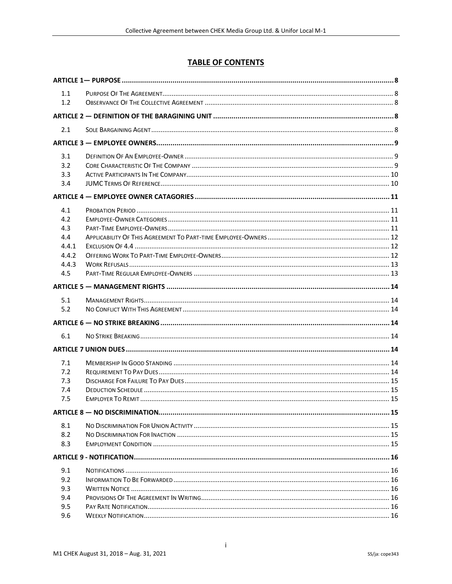# **TABLE OF CONTENTS**

| 1.1   |  |
|-------|--|
| 1.2   |  |
|       |  |
| 2.1   |  |
|       |  |
| 3.1   |  |
| 3.2   |  |
| 3.3   |  |
| 3.4   |  |
|       |  |
| 4.1   |  |
| 4.2   |  |
| 4.3   |  |
| 4.4   |  |
| 4.4.1 |  |
| 4.4.2 |  |
| 4.4.3 |  |
| 4.5   |  |
|       |  |
| 5.1   |  |
| 5.2   |  |
|       |  |
| 6.1   |  |
|       |  |
|       |  |
| 7.1   |  |
| 7.2   |  |
| 7.3   |  |
| 7.4   |  |
| 7.5   |  |
|       |  |
| 8.1   |  |
| 8.2   |  |
| 8.3   |  |
|       |  |
| 9.1   |  |
| 9.2   |  |
| 9.3   |  |
| 9.4   |  |
| 9.5   |  |
| 9.6   |  |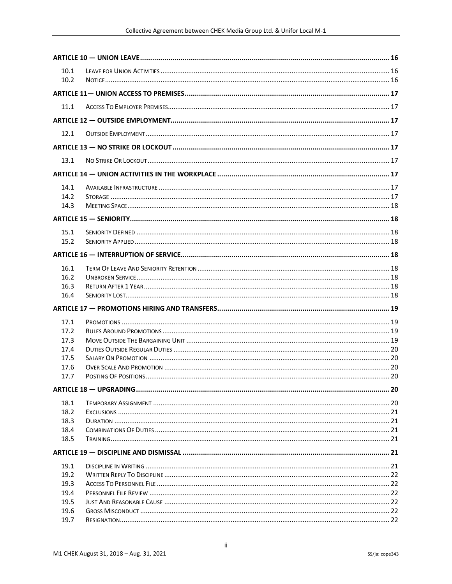| 10.1<br>10.2 |  |
|--------------|--|
|              |  |
| 11.1         |  |
|              |  |
|              |  |
| 12.1         |  |
|              |  |
| 13.1         |  |
|              |  |
| 14.1         |  |
| 14.2         |  |
| 14.3         |  |
|              |  |
| 15.1         |  |
| 15.2         |  |
|              |  |
|              |  |
| 16.1         |  |
| 16.2         |  |
| 16.3         |  |
| 16.4         |  |
|              |  |
| 17.1         |  |
| 17.2         |  |
| 17.3         |  |
| 17.4         |  |
| 17.5         |  |
| 17.6         |  |
| 17.7         |  |
|              |  |
| 18.1         |  |
| 18.2         |  |
| 18.3         |  |
| 18.4         |  |
| 18.5         |  |
|              |  |
| 19.1         |  |
| 19.2         |  |
| 19.3         |  |
| 19.4         |  |
| 19.5         |  |
| 19.6         |  |
| 19.7         |  |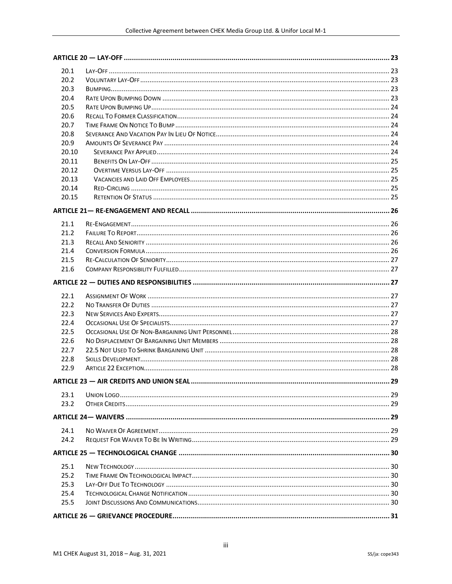| 20.1         |  |
|--------------|--|
| 20.2         |  |
| 20.3         |  |
| 20.4         |  |
| 20.5         |  |
| 20.6         |  |
| 20.7         |  |
| 20.8         |  |
| 20.9         |  |
| 20.10        |  |
| 20.11        |  |
| 20.12        |  |
| 20.13        |  |
| 20.14        |  |
| 20.15        |  |
|              |  |
|              |  |
| 21.1         |  |
| 21.2         |  |
| 21.3<br>21.4 |  |
| 21.5         |  |
| 21.6         |  |
|              |  |
|              |  |
|              |  |
| 22.1         |  |
| 22.2         |  |
| 22.3         |  |
| 22.4         |  |
| 22.5         |  |
| 22.6         |  |
| 22.7         |  |
| 22.8         |  |
| 22.9         |  |
|              |  |
|              |  |
| 23.1         |  |
| 23.2         |  |
|              |  |
| 24.1         |  |
| 24.2         |  |
|              |  |
|              |  |
| 25.1         |  |
| 25.2         |  |
| 25.3         |  |
| 25.4         |  |
| 25.5         |  |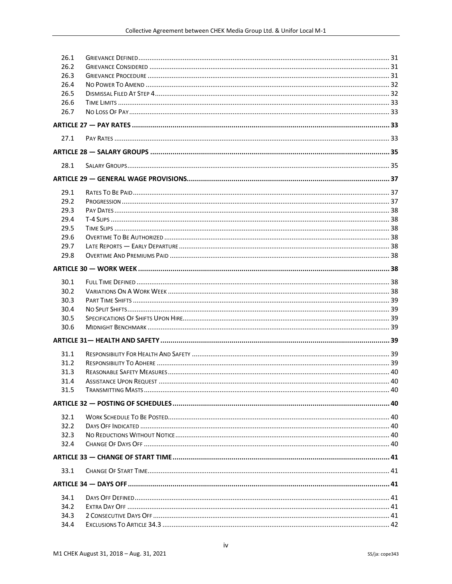| 26.1 |  |
|------|--|
| 26.2 |  |
| 26.3 |  |
| 26.4 |  |
| 26.5 |  |
| 26.6 |  |
| 26.7 |  |
|      |  |
| 27.1 |  |
|      |  |
| 28.1 |  |
|      |  |
| 29.1 |  |
| 29.2 |  |
| 29.3 |  |
| 29.4 |  |
| 29.5 |  |
| 29.6 |  |
| 29.7 |  |
| 29.8 |  |
|      |  |
| 30.1 |  |
| 30.2 |  |
| 30.3 |  |
| 30.4 |  |
| 30.5 |  |
| 30.6 |  |
|      |  |
|      |  |
| 31.1 |  |
| 31.2 |  |
| 31.3 |  |
| 31.4 |  |
| 31.5 |  |
|      |  |
| 32.1 |  |
| 32.2 |  |
| 32.3 |  |
| 32.4 |  |
|      |  |
| 33.1 |  |
|      |  |
| 34.1 |  |
| 34.2 |  |
| 34.3 |  |
| 34.4 |  |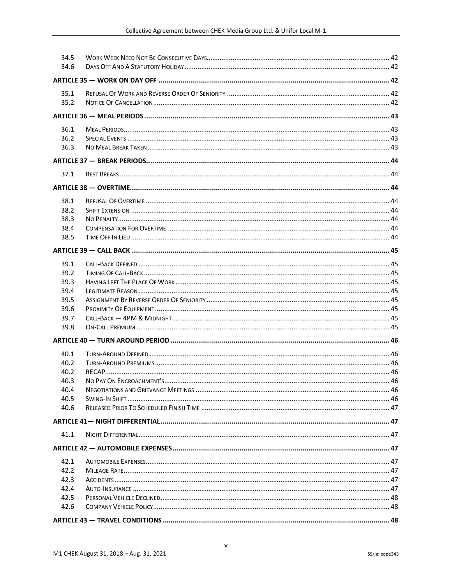| 34.5 |  |
|------|--|
| 34.6 |  |
|      |  |
| 35.1 |  |
| 35.2 |  |
|      |  |
| 36.1 |  |
| 36.2 |  |
| 36.3 |  |
|      |  |
|      |  |
| 37.1 |  |
|      |  |
| 38.1 |  |
| 38.2 |  |
| 38.3 |  |
| 38.4 |  |
| 38.5 |  |
|      |  |
| 39.1 |  |
| 39.2 |  |
| 39.3 |  |
| 39.4 |  |
| 39.5 |  |
| 39.6 |  |
| 39.7 |  |
| 39.8 |  |
|      |  |
| 40.1 |  |
| 40.2 |  |
| 40.2 |  |
| 40.3 |  |
| 40.4 |  |
| 40.5 |  |
| 40.6 |  |
|      |  |
| 41.1 |  |
|      |  |
| 42.1 |  |
| 42.2 |  |
| 42.3 |  |
| 42.4 |  |
| 42.5 |  |
| 42.6 |  |
|      |  |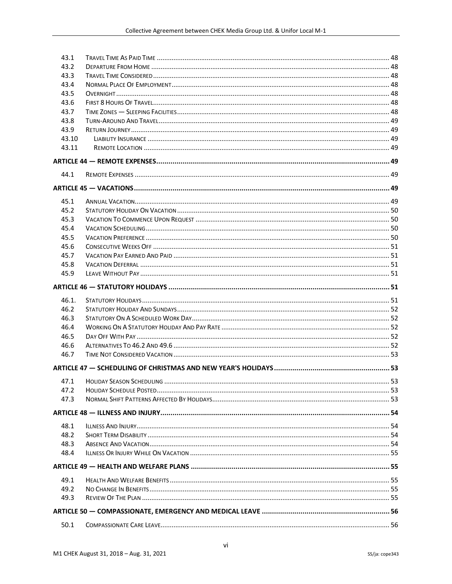| 43.1  |  |
|-------|--|
| 43.2  |  |
| 43.3  |  |
| 43.4  |  |
| 43.5  |  |
| 43.6  |  |
| 43.7  |  |
| 43.8  |  |
| 43.9  |  |
| 43.10 |  |
| 43.11 |  |
|       |  |
| 44.1  |  |
|       |  |
| 45.1  |  |
| 45.2  |  |
| 45.3  |  |
| 45.4  |  |
| 45.5  |  |
| 45.6  |  |
| 45.7  |  |
| 45.8  |  |
| 45.9  |  |
|       |  |
|       |  |
|       |  |
| 46.1. |  |
| 46.2  |  |
| 46.3  |  |
| 46.4  |  |
| 46.5  |  |
| 46.6  |  |
| 46.7  |  |
|       |  |
| 47.1  |  |
| 47.2  |  |
| 47.3  |  |
|       |  |
| 48.1  |  |
| 48.2  |  |
| 48.3  |  |
| 48.4  |  |
|       |  |
| 49.1  |  |
| 49.2  |  |
| 49.3  |  |
|       |  |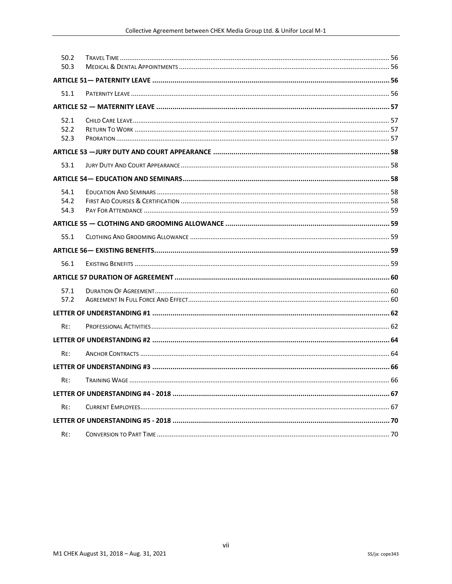| 50.2 |  |
|------|--|
| 50.3 |  |
|      |  |
| 51.1 |  |
|      |  |
| 52.1 |  |
| 52.2 |  |
| 52.3 |  |
|      |  |
| 53.1 |  |
|      |  |
| 54.1 |  |
| 54.2 |  |
| 54.3 |  |
|      |  |
| 55.1 |  |
|      |  |
| 56.1 |  |
|      |  |
| 57.1 |  |
| 57.2 |  |
|      |  |
| RE:  |  |
|      |  |
| RE:  |  |
|      |  |
| RE:  |  |
|      |  |
| RE:  |  |
|      |  |
| RE:  |  |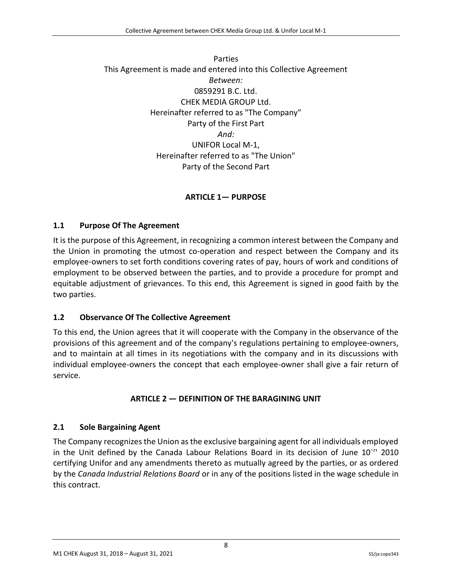## Parties This Agreement is made and entered into this Collective Agreement *Between:* 0859291 B.C. Ltd. CHEK MEDIA GROUP Ltd. Hereinafter referred to as "The Company" Party of the First Part *And:* UNIFOR Local M-1, Hereinafter referred to as "The Union" Party of the Second Part

# **ARTICLE 1— PURPOSE**

### <span id="page-8-1"></span><span id="page-8-0"></span>**1.1 Purpose Of The Agreement**

It is the purpose of this Agreement, in recognizing a common interest between the Company and the Union in promoting the utmost co-operation and respect between the Company and its employee-owners to set forth conditions covering rates of pay, hours of work and conditions of employment to be observed between the parties, and to provide a procedure for prompt and equitable adjustment of grievances. To this end, this Agreement is signed in good faith by the two parties.

#### <span id="page-8-2"></span>**1.2 Observance Of The Collective Agreement**

To this end, the Union agrees that it will cooperate with the Company in the observance of the provisions of this agreement and of the company's regulations pertaining to employee-owners, and to maintain at all times in its negotiations with the company and in its discussions with individual employee-owners the concept that each employee-owner shall give a fair return of service.

## **ARTICLE 2 — DEFINITION OF THE BARAGINING UNIT**

#### <span id="page-8-4"></span><span id="page-8-3"></span>**2.1 Sole Bargaining Agent**

The Company recognizes the Union as the exclusive bargaining agent for all individuals employed in the Unit defined by the Canada Labour Relations Board in its decision of June 10`<sup>r</sup> ' 2010 certifying Unifor and any amendments thereto as mutually agreed by the parties, or as ordered by the *Canada Industrial Relations Board* or in any of the positions listed in the wage schedule in this contract.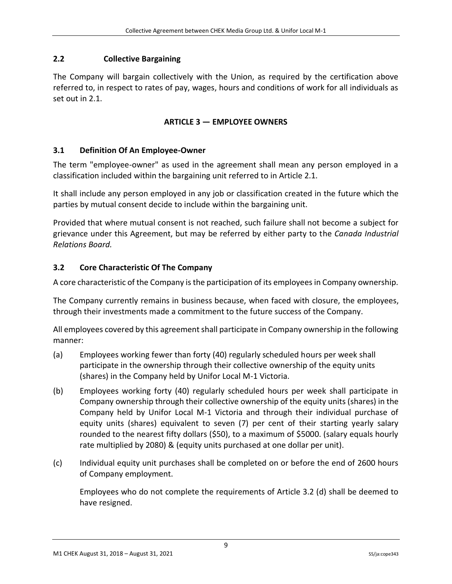# **2.2 Collective Bargaining**

<span id="page-9-0"></span>The Company will bargain collectively with the Union, as required by the certification above referred to, in respect to rates of pay, wages, hours and conditions of work for all individuals as set out in 2.1.

# **ARTICLE 3 — EMPLOYEE OWNERS**

# <span id="page-9-1"></span>**3.1 Definition Of An Employee-Owner**

The term "employee-owner" as used in the agreement shall mean any person employed in a classification included within the bargaining unit referred to in Article 2.1.

It shall include any person employed in any job or classification created in the future which the parties by mutual consent decide to include within the bargaining unit.

Provided that where mutual consent is not reached, such failure shall not become a subject for grievance under this Agreement, but may be referred by either party to the *Canada Industrial Relations Board.*

# <span id="page-9-2"></span>**3.2 Core Characteristic Of The Company**

A core characteristic of the Company is the participation of its employees in Company ownership.

The Company currently remains in business because, when faced with closure, the employees, through their investments made a commitment to the future success of the Company.

All employees covered by this agreement shall participate in Company ownership in the following manner:

- (a) Employees working fewer than forty (40) regularly scheduled hours per week shall participate in the ownership through their collective ownership of the equity units (shares) in the Company held by Unifor Local M-1 Victoria.
- (b) Employees working forty (40) regularly scheduled hours per week shall participate in Company ownership through their collective ownership of the equity units (shares) in the Company held by Unifor Local M-1 Victoria and through their individual purchase of equity units (shares) equivalent to seven (7) per cent of their starting yearly salary rounded to the nearest fifty dollars (\$50), to a maximum of \$5000. (salary equals hourly rate multiplied by 2080) & (equity units purchased at one dollar per unit).
- (c) Individual equity unit purchases shall be completed on or before the end of 2600 hours of Company employment.

Employees who do not complete the requirements of Article 3.2 (d) shall be deemed to have resigned.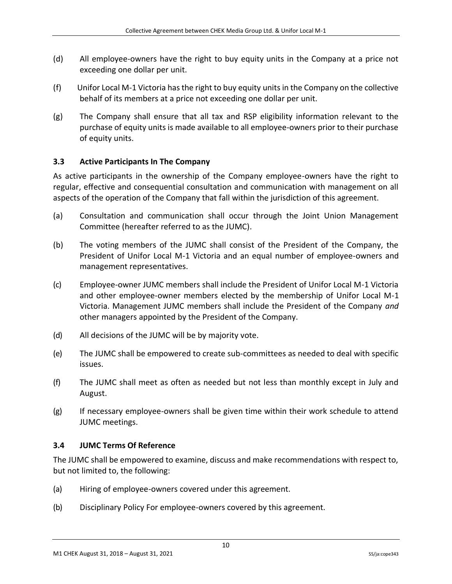- (d) All employee-owners have the right to buy equity units in the Company at a price not exceeding one dollar per unit.
- (f) Unifor Local M-1 Victoria has the right to buy equity units in the Company on the collective behalf of its members at a price not exceeding one dollar per unit.
- (g) The Company shall ensure that all tax and RSP eligibility information relevant to the purchase of equity units is made available to all employee-owners prior to their purchase of equity units.

### <span id="page-10-0"></span>**3.3 Active Participants In The Company**

As active participants in the ownership of the Company employee-owners have the right to regular, effective and consequential consultation and communication with management on all aspects of the operation of the Company that fall within the jurisdiction of this agreement.

- (a) Consultation and communication shall occur through the Joint Union Management Committee (hereafter referred to as the JUMC).
- (b) The voting members of the JUMC shall consist of the President of the Company, the President of Unifor Local M-1 Victoria and an equal number of employee-owners and management representatives.
- (c) Employee-owner JUMC members shall include the President of Unifor Local M-1 Victoria and other employee-owner members elected by the membership of Unifor Local M-1 Victoria. Management JUMC members shall include the President of the Company *and*  other managers appointed by the President of the Company.
- (d) All decisions of the JUMC will be by majority vote.
- (e) The JUMC shall be empowered to create sub-committees as needed to deal with specific issues.
- (f) The JUMC shall meet as often as needed but not less than monthly except in July and August.
- (g) If necessary employee-owners shall be given time within their work schedule to attend JUMC meetings.

#### <span id="page-10-1"></span>**3.4 JUMC Terms Of Reference**

The JUMC shall be empowered to examine, discuss and make recommendations with respect to, but not limited to, the following:

- (a) Hiring of employee-owners covered under this agreement.
- (b) Disciplinary Policy For employee-owners covered by this agreement.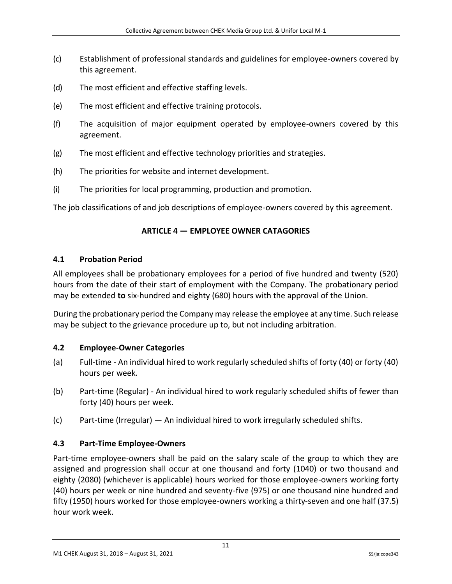- (c) Establishment of professional standards and guidelines for employee-owners covered by this agreement.
- (d) The most efficient and effective staffing levels.
- (e) The most efficient and effective training protocols.
- (f) The acquisition of major equipment operated by employee-owners covered by this agreement.
- (g) The most efficient and effective technology priorities and strategies.
- (h) The priorities for website and internet development.
- (i) The priorities for local programming, production and promotion.

<span id="page-11-0"></span>The job classifications of and job descriptions of employee-owners covered by this agreement.

## **ARTICLE 4 — EMPLOYEE OWNER CATAGORIES**

#### <span id="page-11-1"></span>**4.1 Probation Period**

All employees shall be probationary employees for a period of five hundred and twenty (520) hours from the date of their start of employment with the Company. The probationary period may be extended **to** six-hundred and eighty (680) hours with the approval of the Union.

During the probationary period the Company may release the employee at any time. Such release may be subject to the grievance procedure up to, but not including arbitration.

#### <span id="page-11-2"></span>**4.2 Employee-Owner Categories**

- (a) Full-time An individual hired to work regularly scheduled shifts of forty (40) or forty (40) hours per week.
- (b) Part-time (Regular) An individual hired to work regularly scheduled shifts of fewer than forty (40) hours per week.
- (c) Part-time (Irregular) An individual hired to work irregularly scheduled shifts.

## <span id="page-11-3"></span>**4.3 Part-Time Employee-Owners**

Part-time employee-owners shall be paid on the salary scale of the group to which they are assigned and progression shall occur at one thousand and forty (1040) or two thousand and eighty (2080) (whichever is applicable) hours worked for those employee-owners working forty (40) hours per week or nine hundred and seventy-five (975) or one thousand nine hundred and fifty (1950) hours worked for those employee-owners working a thirty-seven and one half (37.5) hour work week.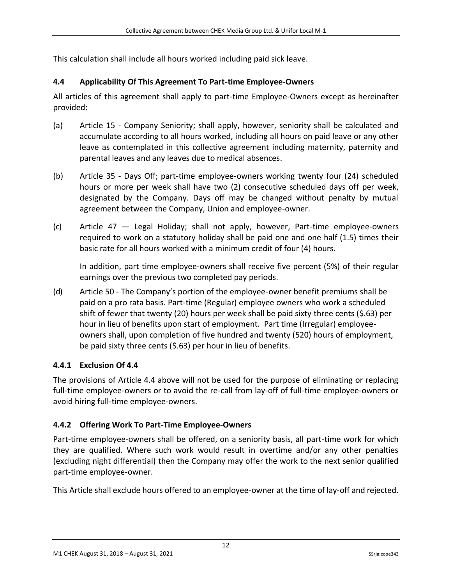This calculation shall include all hours worked including paid sick leave.

# <span id="page-12-0"></span>**4.4 Applicability Of This Agreement To Part-time Employee-Owners**

All articles of this agreement shall apply to part-time Employee-Owners except as hereinafter provided:

- (a) Article 15 Company Seniority; shall apply, however, seniority shall be calculated and accumulate according to all hours worked, including all hours on paid leave or any other leave as contemplated in this collective agreement including maternity, paternity and parental leaves and any leaves due to medical absences.
- (b) Article 35 Days Off; part-time employee-owners working twenty four (24) scheduled hours or more per week shall have two (2) consecutive scheduled days off per week, designated by the Company. Days off may be changed without penalty by mutual agreement between the Company, Union and employee-owner.
- (c) Article 47 Legal Holiday; shall not apply, however, Part-time employee-owners required to work on a statutory holiday shall be paid one and one half (1.5) times their basic rate for all hours worked with a minimum credit of four (4) hours.

In addition, part time employee-owners shall receive five percent (5%) of their regular earnings over the previous two completed pay periods.

(d) Article 50 - The Company's portion of the employee-owner benefit premiums shall be paid on a pro rata basis. Part-time (Regular) employee owners who work a scheduled shift of fewer that twenty (20) hours per week shall be paid sixty three cents (\$.63) per hour in lieu of benefits upon start of employment. Part time (Irregular) employeeowners shall, upon completion of five hundred and twenty (520) hours of employment, be paid sixty three cents (\$.63) per hour in lieu of benefits.

# <span id="page-12-1"></span>**4.4.1 Exclusion Of 4.4**

The provisions of Article 4.4 above will not be used for the purpose of eliminating or replacing full-time employee-owners or to avoid the re-call from lay-off of full-time employee-owners or avoid hiring full-time employee-owners.

# <span id="page-12-2"></span>**4.4.2 Offering Work To Part-Time Employee-Owners**

Part-time employee-owners shall be offered, on a seniority basis, all part-time work for which they are qualified. Where such work would result in overtime and/or any other penalties (excluding night differential) then the Company may offer the work to the next senior qualified part-time employee-owner.

This Article shall exclude hours offered to an employee-owner at the time of lay-off and rejected.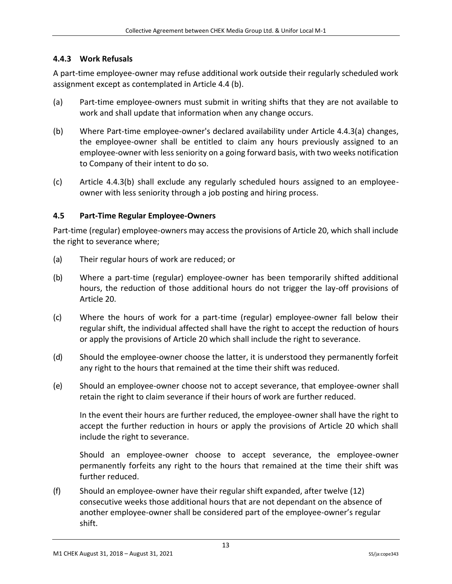## <span id="page-13-0"></span>**4.4.3 Work Refusals**

A part-time employee-owner may refuse additional work outside their regularly scheduled work assignment except as contemplated in Article 4.4 (b).

- (a) Part-time employee-owners must submit in writing shifts that they are not available to work and shall update that information when any change occurs.
- (b) Where Part-time employee-owner's declared availability under Article 4.4.3(a) changes, the employee-owner shall be entitled to claim any hours previously assigned to an employee-owner with less seniority on a going forward basis, with two weeks notification to Company of their intent to do so.
- (c) Article 4.4.3(b) shall exclude any regularly scheduled hours assigned to an employeeowner with less seniority through a job posting and hiring process.

## <span id="page-13-1"></span>**4.5 Part-Time Regular Employee-Owners**

Part-time (regular) employee-owners may access the provisions of Article 20, which shall include the right to severance where;

- (a) Their regular hours of work are reduced; or
- (b) Where a part-time (regular) employee-owner has been temporarily shifted additional hours, the reduction of those additional hours do not trigger the lay-off provisions of Article 20.
- (c) Where the hours of work for a part-time (regular) employee-owner fall below their regular shift, the individual affected shall have the right to accept the reduction of hours or apply the provisions of Article 20 which shall include the right to severance.
- (d) Should the employee-owner choose the latter, it is understood they permanently forfeit any right to the hours that remained at the time their shift was reduced.
- (e) Should an employee-owner choose not to accept severance, that employee-owner shall retain the right to claim severance if their hours of work are further reduced.

In the event their hours are further reduced, the employee-owner shall have the right to accept the further reduction in hours or apply the provisions of Article 20 which shall include the right to severance.

Should an employee-owner choose to accept severance, the employee-owner permanently forfeits any right to the hours that remained at the time their shift was further reduced.

(f) Should an employee-owner have their regular shift expanded, after twelve (12) consecutive weeks those additional hours that are not dependant on the absence of another employee-owner shall be considered part of the employee-owner's regular shift.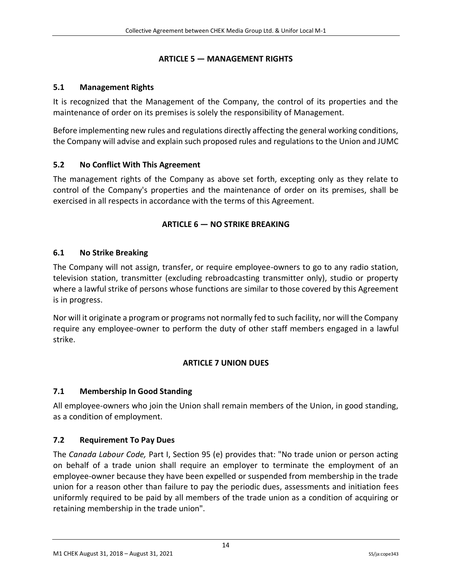## **ARTICLE 5 — MANAGEMENT RIGHTS**

# <span id="page-14-1"></span><span id="page-14-0"></span>**5.1 Management Rights**

It is recognized that the Management of the Company, the control of its properties and the maintenance of order on its premises is solely the responsibility of Management.

Before implementing new rules and regulations directly affecting the general working conditions, the Company will advise and explain such proposed rules and regulations to the Union and JUMC

# <span id="page-14-2"></span>**5.2 No Conflict With This Agreement**

<span id="page-14-3"></span>The management rights of the Company as above set forth, excepting only as they relate to control of the Company's properties and the maintenance of order on its premises, shall be exercised in all respects in accordance with the terms of this Agreement.

# **ARTICLE 6 — NO STRIKE BREAKING**

# <span id="page-14-4"></span>**6.1 No Strike Breaking**

The Company will not assign, transfer, or require employee-owners to go to any radio station, television station, transmitter (excluding rebroadcasting transmitter only), studio or property where a lawful strike of persons whose functions are similar to those covered by this Agreement is in progress.

<span id="page-14-5"></span>Nor will it originate a program or programs not normally fed to such facility, nor will the Company require any employee-owner to perform the duty of other staff members engaged in a lawful strike.

# **ARTICLE 7 UNION DUES**

# <span id="page-14-6"></span>**7.1 Membership In Good Standing**

All employee-owners who join the Union shall remain members of the Union, in good standing, as a condition of employment.

## <span id="page-14-7"></span>**7.2 Requirement To Pay Dues**

The *Canada Labour Code,* Part I, Section 95 (e) provides that: "No trade union or person acting on behalf of a trade union shall require an employer to terminate the employment of an employee-owner because they have been expelled or suspended from membership in the trade union for a reason other than failure to pay the periodic dues, assessments and initiation fees uniformly required to be paid by all members of the trade union as a condition of acquiring or retaining membership in the trade union".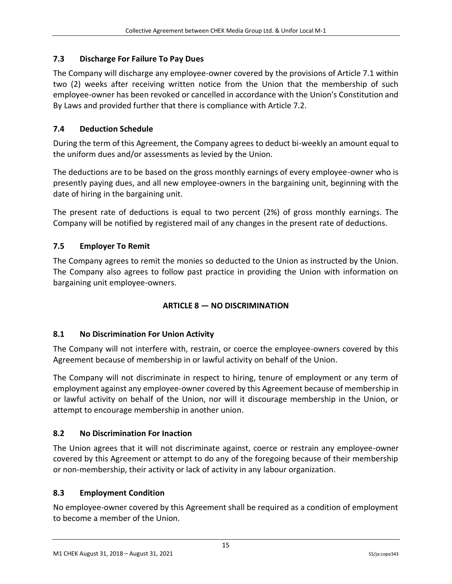# <span id="page-15-0"></span>**7.3 Discharge For Failure To Pay Dues**

The Company will discharge any employee-owner covered by the provisions of Article 7.1 within two (2) weeks after receiving written notice from the Union that the membership of such employee-owner has been revoked or cancelled in accordance with the Union's Constitution and By Laws and provided further that there is compliance with Article 7.2.

# <span id="page-15-1"></span>**7.4 Deduction Schedule**

During the term of this Agreement, the Company agrees to deduct bi-weekly an amount equal to the uniform dues and/or assessments as levied by the Union.

The deductions are to be based on the gross monthly earnings of every employee-owner who is presently paying dues, and all new employee-owners in the bargaining unit, beginning with the date of hiring in the bargaining unit.

The present rate of deductions is equal to two percent (2%) of gross monthly earnings. The Company will be notified by registered mail of any changes in the present rate of deductions.

# <span id="page-15-2"></span>**7.5 Employer To Remit**

<span id="page-15-3"></span>The Company agrees to remit the monies so deducted to the Union as instructed by the Union. The Company also agrees to follow past practice in providing the Union with information on bargaining unit employee-owners.

## **ARTICLE 8 — NO DISCRIMINATION**

## <span id="page-15-4"></span>**8.1 No Discrimination For Union Activity**

The Company will not interfere with, restrain, or coerce the employee-owners covered by this Agreement because of membership in or lawful activity on behalf of the Union.

The Company will not discriminate in respect to hiring, tenure of employment or any term of employment against any employee-owner covered by this Agreement because of membership in or lawful activity on behalf of the Union, nor will it discourage membership in the Union, or attempt to encourage membership in another union.

# <span id="page-15-5"></span>**8.2 No Discrimination For Inaction**

The Union agrees that it will not discriminate against, coerce or restrain any employee-owner covered by this Agreement or attempt to do any of the foregoing because of their membership or non-membership, their activity or lack of activity in any labour organization.

## <span id="page-15-6"></span>**8.3 Employment Condition**

No employee-owner covered by this Agreement shall be required as a condition of employment to become a member of the Union.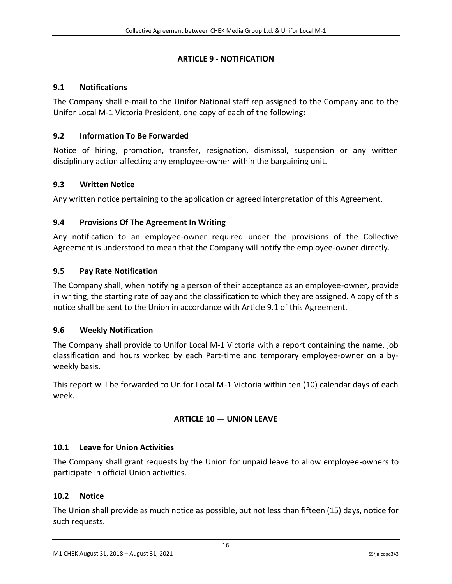## **ARTICLE 9 - NOTIFICATION**

### <span id="page-16-1"></span><span id="page-16-0"></span>**9.1 Notifications**

The Company shall e-mail to the Unifor National staff rep assigned to the Company and to the Unifor Local M-1 Victoria President, one copy of each of the following:

## <span id="page-16-2"></span>**9.2 Information To Be Forwarded**

Notice of hiring, promotion, transfer, resignation, dismissal, suspension or any written disciplinary action affecting any employee-owner within the bargaining unit.

### <span id="page-16-3"></span>**9.3 Written Notice**

Any written notice pertaining to the application or agreed interpretation of this Agreement.

### <span id="page-16-4"></span>**9.4 Provisions Of The Agreement In Writing**

Any notification to an employee-owner required under the provisions of the Collective Agreement is understood to mean that the Company will notify the employee-owner directly.

### <span id="page-16-5"></span>**9.5 Pay Rate Notification**

The Company shall, when notifying a person of their acceptance as an employee-owner, provide in writing, the starting rate of pay and the classification to which they are assigned. A copy of this notice shall be sent to the Union in accordance with Article 9.1 of this Agreement.

#### <span id="page-16-6"></span>**9.6 Weekly Notification**

The Company shall provide to Unifor Local M-1 Victoria with a report containing the name, job classification and hours worked by each Part-time and temporary employee-owner on a byweekly basis.

<span id="page-16-7"></span>This report will be forwarded to Unifor Local M-1 Victoria within ten (10) calendar days of each week.

## **ARTICLE 10 — UNION LEAVE**

#### <span id="page-16-8"></span>**10.1 Leave for Union Activities**

The Company shall grant requests by the Union for unpaid leave to allow employee-owners to participate in official Union activities.

#### <span id="page-16-9"></span>**10.2 Notice**

The Union shall provide as much notice as possible, but not less than fifteen (15) days, notice for such requests.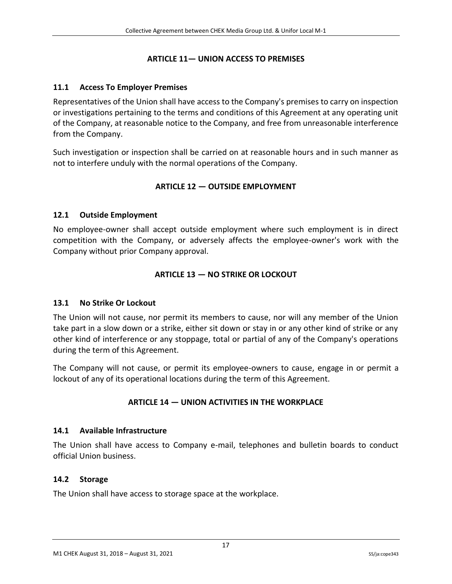#### **ARTICLE 11— UNION ACCESS TO PREMISES**

#### <span id="page-17-1"></span><span id="page-17-0"></span>**11.1 Access To Employer Premises**

Representatives of the Union shall have access to the Company's premises to carry on inspection or investigations pertaining to the terms and conditions of this Agreement at any operating unit of the Company, at reasonable notice to the Company, and free from unreasonable interference from the Company.

<span id="page-17-2"></span>Such investigation or inspection shall be carried on at reasonable hours and in such manner as not to interfere unduly with the normal operations of the Company.

### **ARTICLE 12 — OUTSIDE EMPLOYMENT**

#### <span id="page-17-3"></span>**12.1 Outside Employment**

<span id="page-17-4"></span>No employee-owner shall accept outside employment where such employment is in direct competition with the Company, or adversely affects the employee-owner's work with the Company without prior Company approval.

### **ARTICLE 13 — NO STRIKE OR LOCKOUT**

#### <span id="page-17-5"></span>**13.1 No Strike Or Lockout**

The Union will not cause, nor permit its members to cause, nor will any member of the Union take part in a slow down or a strike, either sit down or stay in or any other kind of strike or any other kind of interference or any stoppage, total or partial of any of the Company's operations during the term of this Agreement.

<span id="page-17-6"></span>The Company will not cause, or permit its employee-owners to cause, engage in or permit a lockout of any of its operational locations during the term of this Agreement.

#### **ARTICLE 14 — UNION ACTIVITIES IN THE WORKPLACE**

#### <span id="page-17-7"></span>**14.1 Available Infrastructure**

The Union shall have access to Company e-mail, telephones and bulletin boards to conduct official Union business.

#### <span id="page-17-8"></span>**14.2 Storage**

The Union shall have access to storage space at the workplace.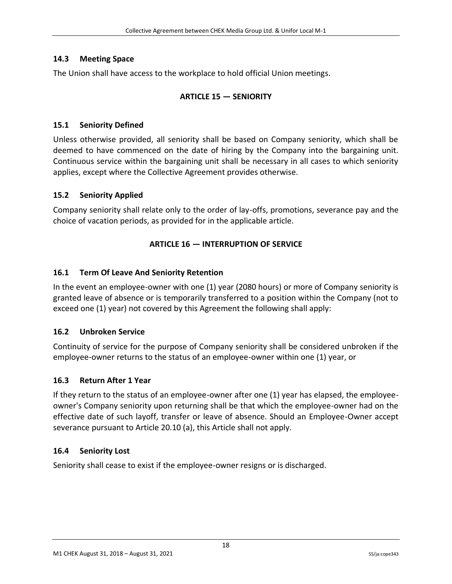## <span id="page-18-0"></span>**14.3 Meeting Space**

<span id="page-18-1"></span>The Union shall have access to the workplace to hold official Union meetings.

# **ARTICLE 15 — SENIORITY**

### <span id="page-18-2"></span>**15.1 Seniority Defined**

Unless otherwise provided, all seniority shall be based on Company seniority, which shall be deemed to have commenced on the date of hiring by the Company into the bargaining unit. Continuous service within the bargaining unit shall be necessary in all cases to which seniority applies, except where the Collective Agreement provides otherwise.

### <span id="page-18-3"></span>**15.2 Seniority Applied**

<span id="page-18-4"></span>Company seniority shall relate only to the order of lay-offs, promotions, severance pay and the choice of vacation periods, as provided for in the applicable article.

## **ARTICLE 16 — INTERRUPTION OF SERVICE**

## <span id="page-18-5"></span>**16.1 Term Of Leave And Seniority Retention**

In the event an employee-owner with one (1) year (2080 hours) or more of Company seniority is granted leave of absence or is temporarily transferred to a position within the Company (not to exceed one (1) year) not covered by this Agreement the following shall apply:

#### <span id="page-18-6"></span>**16.2 Unbroken Service**

Continuity of service for the purpose of Company seniority shall be considered unbroken if the employee-owner returns to the status of an employee-owner within one (1) year, or

## <span id="page-18-7"></span>**16.3 Return After 1 Year**

If they return to the status of an employee-owner after one (1) year has elapsed, the employeeowner's Company seniority upon returning shall be that which the employee-owner had on the effective date of such layoff, transfer or leave of absence. Should an Employee-Owner accept severance pursuant to Article 20.10 (a), this Article shall not apply.

#### <span id="page-18-8"></span>**16.4 Seniority Lost**

Seniority shall cease to exist if the employee-owner resigns or is discharged.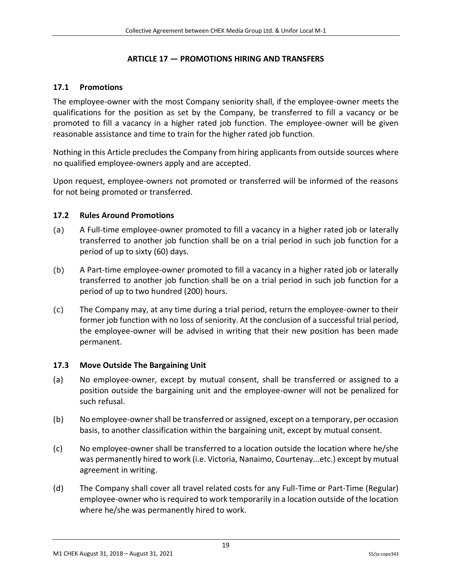### **ARTICLE 17 — PROMOTIONS HIRING AND TRANSFERS**

### <span id="page-19-1"></span><span id="page-19-0"></span>**17.1 Promotions**

The employee-owner with the most Company seniority shall, if the employee-owner meets the qualifications for the position as set by the Company, be transferred to fill a vacancy or be promoted to fill a vacancy in a higher rated job function. The employee-owner will be given reasonable assistance and time to train for the higher rated job function.

Nothing in this Article precludes the Company from hiring applicants from outside sources where no qualified employee-owners apply and are accepted.

Upon request, employee-owners not promoted or transferred will be informed of the reasons for not being promoted or transferred.

#### <span id="page-19-2"></span>**17.2 Rules Around Promotions**

- (a) A Full-time employee-owner promoted to fill a vacancy in a higher rated job or laterally transferred to another job function shall be on a trial period in such job function for a period of up to sixty (60) days.
- (b) A Part-time employee-owner promoted to fill a vacancy in a higher rated job or laterally transferred to another job function shall be on a trial period in such job function for a period of up to two hundred (200) hours.
- (c) The Company may, at any time during a trial period, return the employee-owner to their former job function with no loss of seniority. At the conclusion of a successful trial period, the employee-owner will be advised in writing that their new position has been made permanent.

#### <span id="page-19-3"></span>**17.3 Move Outside The Bargaining Unit**

- (a) No employee-owner, except by mutual consent, shall be transferred or assigned to a position outside the bargaining unit and the employee-owner will not be penalized for such refusal.
- (b) No employee-owner shall be transferred or assigned, except on a temporary, per occasion basis, to another classification within the bargaining unit, except by mutual consent.
- (c) No employee-owner shall be transferred to a location outside the location where he/she was permanently hired to work (i.e. Victoria, Nanaimo, Courtenay...etc.) except by mutual agreement in writing.
- (d) The Company shall cover all travel related costs for any Full-Time or Part-Time (Regular) employee-owner who is required to work temporarily in a location outside of the location where he/she was permanently hired to work.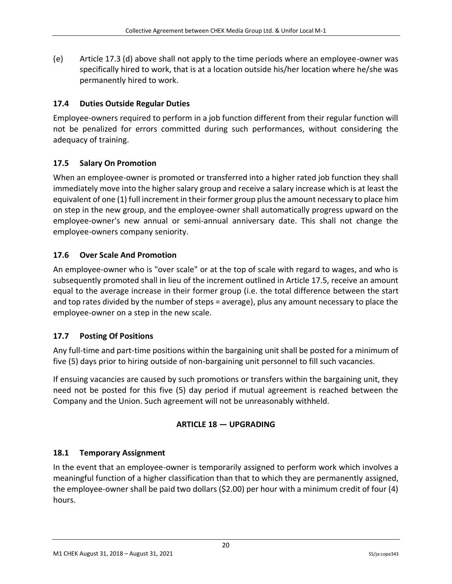(e) Article 17.3 (d) above shall not apply to the time periods where an employee-owner was specifically hired to work, that is at a location outside his/her location where he/she was permanently hired to work.

# <span id="page-20-0"></span>**17.4 Duties Outside Regular Duties**

Employee-owners required to perform in a job function different from their regular function will not be penalized for errors committed during such performances, without considering the adequacy of training.

# <span id="page-20-1"></span>**17.5 Salary On Promotion**

When an employee-owner is promoted or transferred into a higher rated job function they shall immediately move into the higher salary group and receive a salary increase which is at least the equivalent of one (1) full increment in their former group plus the amount necessary to place him on step in the new group, and the employee-owner shall automatically progress upward on the employee-owner's new annual or semi-annual anniversary date. This shall not change the employee-owners company seniority.

# <span id="page-20-2"></span>**17.6 Over Scale And Promotion**

An employee-owner who is "over scale" or at the top of scale with regard to wages, and who is subsequently promoted shall in lieu of the increment outlined in Article 17.5, receive an amount equal to the average increase in their former group (i.e. the total difference between the start and top rates divided by the number of steps = average), plus any amount necessary to place the employee-owner on a step in the new scale.

# <span id="page-20-3"></span>**17.7 Posting Of Positions**

Any full-time and part-time positions within the bargaining unit shall be posted for a minimum of five (5) days prior to hiring outside of non-bargaining unit personnel to fill such vacancies.

<span id="page-20-4"></span>If ensuing vacancies are caused by such promotions or transfers within the bargaining unit, they need not be posted for this five (5) day period if mutual agreement is reached between the Company and the Union. Such agreement will not be unreasonably withheld.

## **ARTICLE 18 — UPGRADING**

## <span id="page-20-5"></span>**18.1 Temporary Assignment**

In the event that an employee-owner is temporarily assigned to perform work which involves a meaningful function of a higher classification than that to which they are permanently assigned, the employee-owner shall be paid two dollars (\$2.00) per hour with a minimum credit of four (4) hours.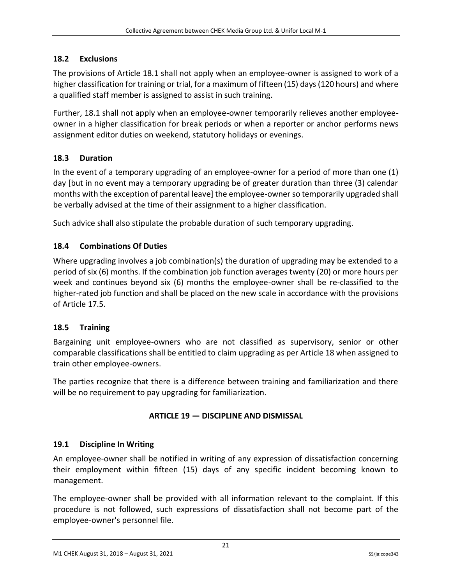## <span id="page-21-0"></span>**18.2 Exclusions**

The provisions of Article 18.1 shall not apply when an employee-owner is assigned to work of a higher classification for training or trial, for a maximum of fifteen (15) days (120 hours) and where a qualified staff member is assigned to assist in such training.

Further, 18.1 shall not apply when an employee-owner temporarily relieves another employeeowner in a higher classification for break periods or when a reporter or anchor performs news assignment editor duties on weekend, statutory holidays or evenings.

## <span id="page-21-1"></span>**18.3 Duration**

In the event of a temporary upgrading of an employee-owner for a period of more than one (1) day [but in no event may a temporary upgrading be of greater duration than three (3) calendar months with the exception of parental leave] the employee-owner so temporarily upgraded shall be verbally advised at the time of their assignment to a higher classification.

Such advice shall also stipulate the probable duration of such temporary upgrading.

## <span id="page-21-2"></span>**18.4 Combinations Of Duties**

Where upgrading involves a job combination(s) the duration of upgrading may be extended to a period of six (6) months. If the combination job function averages twenty (20) or more hours per week and continues beyond six (6) months the employee-owner shall be re-classified to the higher-rated job function and shall be placed on the new scale in accordance with the provisions of Article 17.5.

#### <span id="page-21-3"></span>**18.5 Training**

Bargaining unit employee-owners who are not classified as supervisory, senior or other comparable classifications shall be entitled to claim upgrading as per Article 18 when assigned to train other employee-owners.

<span id="page-21-4"></span>The parties recognize that there is a difference between training and familiarization and there will be no requirement to pay upgrading for familiarization.

## **ARTICLE 19 — DISCIPLINE AND DISMISSAL**

## <span id="page-21-5"></span>**19.1 Discipline In Writing**

An employee-owner shall be notified in writing of any expression of dissatisfaction concerning their employment within fifteen (15) days of any specific incident becoming known to management.

The employee-owner shall be provided with all information relevant to the complaint. If this procedure is not followed, such expressions of dissatisfaction shall not become part of the employee-owner's personnel file.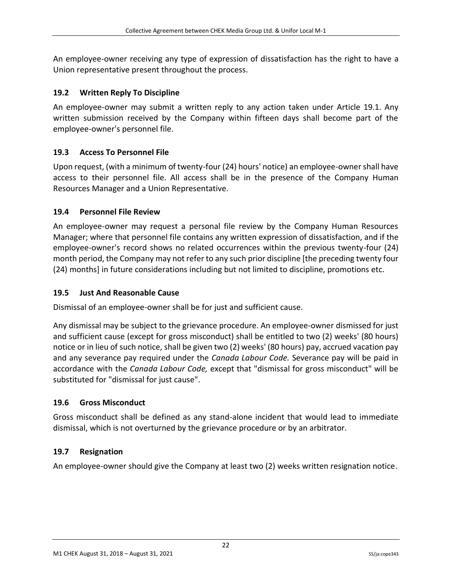An employee-owner receiving any type of expression of dissatisfaction has the right to have a Union representative present throughout the process.

# <span id="page-22-0"></span>**19.2 Written Reply To Discipline**

An employee-owner may submit a written reply to any action taken under Article 19.1. Any written submission received by the Company within fifteen days shall become part of the employee-owner's personnel file.

# <span id="page-22-1"></span>**19.3 Access To Personnel File**

Upon request, (with a minimum of twenty-four (24) hours' notice) an employee-owner shall have access to their personnel file. All access shall be in the presence of the Company Human Resources Manager and a Union Representative.

## <span id="page-22-2"></span>**19.4 Personnel File Review**

An employee-owner may request a personal file review by the Company Human Resources Manager; where that personnel file contains any written expression of dissatisfaction, and if the employee-owner's record shows no related occurrences within the previous twenty-four (24) month period, the Company may not refer to any such prior discipline [the preceding twenty four (24) months] in future considerations including but not limited to discipline, promotions etc.

# <span id="page-22-3"></span>**19.5 Just And Reasonable Cause**

Dismissal of an employee-owner shall be for just and sufficient cause.

Any dismissal may be subject to the grievance procedure. An employee-owner dismissed for just and sufficient cause (except for gross misconduct) shall be entitled to two (2) weeks' (80 hours) notice or in lieu of such notice, shall be given two (2) weeks' (80 hours) pay, accrued vacation pay and any severance pay required under the *Canada Labour Code.* Severance pay will be paid in accordance with the *Canada Labour Code,* except that "dismissal for gross misconduct" will be substituted for "dismissal for just cause".

## <span id="page-22-4"></span>**19.6 Gross Misconduct**

Gross misconduct shall be defined as any stand-alone incident that would lead to immediate dismissal, which is not overturned by the grievance procedure or by an arbitrator.

# <span id="page-22-5"></span>**19.7 Resignation**

An employee-owner should give the Company at least two (2) weeks written resignation notice.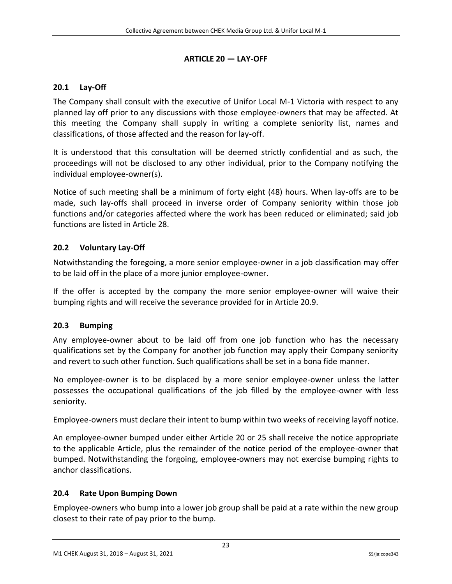## **ARTICLE 20 — LAY-OFF**

# <span id="page-23-1"></span><span id="page-23-0"></span>**20.1 Lay-Off**

The Company shall consult with the executive of Unifor Local M-1 Victoria with respect to any planned lay off prior to any discussions with those employee-owners that may be affected. At this meeting the Company shall supply in writing a complete seniority list, names and classifications, of those affected and the reason for lay-off.

It is understood that this consultation will be deemed strictly confidential and as such, the proceedings will not be disclosed to any other individual, prior to the Company notifying the individual employee-owner(s).

Notice of such meeting shall be a minimum of forty eight (48) hours. When lay-offs are to be made, such lay-offs shall proceed in inverse order of Company seniority within those job functions and/or categories affected where the work has been reduced or eliminated; said job functions are listed in Article 28.

# <span id="page-23-2"></span>**20.2 Voluntary Lay-Off**

Notwithstanding the foregoing, a more senior employee-owner in a job classification may offer to be laid off in the place of a more junior employee-owner.

If the offer is accepted by the company the more senior employee-owner will waive their bumping rights and will receive the severance provided for in Article 20.9.

## <span id="page-23-3"></span>**20.3 Bumping**

Any employee-owner about to be laid off from one job function who has the necessary qualifications set by the Company for another job function may apply their Company seniority and revert to such other function. Such qualifications shall be set in a bona fide manner.

No employee-owner is to be displaced by a more senior employee-owner unless the latter possesses the occupational qualifications of the job filled by the employee-owner with less seniority.

Employee-owners must declare their intent to bump within two weeks of receiving layoff notice.

An employee-owner bumped under either Article 20 or 25 shall receive the notice appropriate to the applicable Article, plus the remainder of the notice period of the employee-owner that bumped. Notwithstanding the forgoing, employee-owners may not exercise bumping rights to anchor classifications.

## <span id="page-23-4"></span>**20.4 Rate Upon Bumping Down**

Employee-owners who bump into a lower job group shall be paid at a rate within the new group closest to their rate of pay prior to the bump.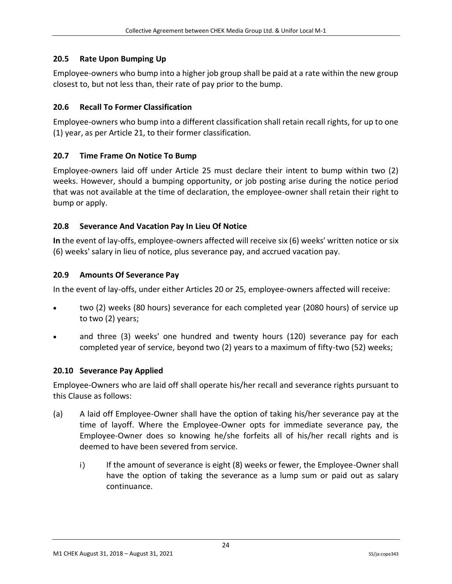## <span id="page-24-0"></span>**20.5 Rate Upon Bumping Up**

Employee-owners who bump into a higher job group shall be paid at a rate within the new group closest to, but not less than, their rate of pay prior to the bump.

### <span id="page-24-1"></span>**20.6 Recall To Former Classification**

Employee-owners who bump into a different classification shall retain recall rights, for up to one (1) year, as per Article 21, to their former classification.

### <span id="page-24-2"></span>**20.7 Time Frame On Notice To Bump**

Employee-owners laid off under Article 25 must declare their intent to bump within two (2) weeks. However, should a bumping opportunity, or job posting arise during the notice period that was not available at the time of declaration, the employee-owner shall retain their right to bump or apply.

### <span id="page-24-3"></span>**20.8 Severance And Vacation Pay In Lieu Of Notice**

**In** the event of lay-offs, employee-owners affected will receive six (6) weeks' written notice or six (6) weeks' salary in lieu of notice, plus severance pay, and accrued vacation pay.

### <span id="page-24-4"></span>**20.9 Amounts Of Severance Pay**

In the event of lay-offs, under either Articles 20 or 25, employee-owners affected will receive:

- two (2) weeks (80 hours) severance for each completed year (2080 hours) of service up to two (2) years;
- and three (3) weeks' one hundred and twenty hours (120) severance pay for each completed year of service, beyond two (2) years to a maximum of fifty-two (52) weeks;

#### <span id="page-24-5"></span>**20.10 Severance Pay Applied**

Employee-Owners who are laid off shall operate his/her recall and severance rights pursuant to this Clause as follows:

- (a) A laid off Employee-Owner shall have the option of taking his/her severance pay at the time of layoff. Where the Employee-Owner opts for immediate severance pay, the Employee-Owner does so knowing he/she forfeits all of his/her recall rights and is deemed to have been severed from service.
	- i) If the amount of severance is eight (8) weeks or fewer, the Employee-Owner shall have the option of taking the severance as a lump sum or paid out as salary continuance.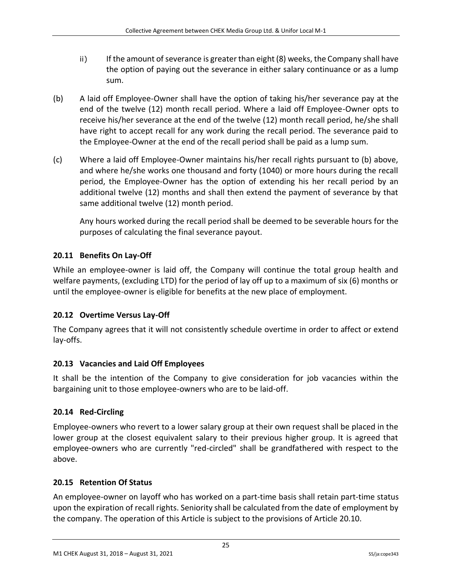- ii) If the amount of severance is greater than eight (8) weeks, the Company shall have the option of paying out the severance in either salary continuance or as a lump sum.
- (b) A laid off Employee-Owner shall have the option of taking his/her severance pay at the end of the twelve (12) month recall period. Where a laid off Employee-Owner opts to receive his/her severance at the end of the twelve (12) month recall period, he/she shall have right to accept recall for any work during the recall period. The severance paid to the Employee-Owner at the end of the recall period shall be paid as a lump sum.
- (c) Where a laid off Employee-Owner maintains his/her recall rights pursuant to (b) above, and where he/she works one thousand and forty (1040) or more hours during the recall period, the Employee-Owner has the option of extending his her recall period by an additional twelve (12) months and shall then extend the payment of severance by that same additional twelve (12) month period.

Any hours worked during the recall period shall be deemed to be severable hours for the purposes of calculating the final severance payout.

# <span id="page-25-0"></span>**20.11 Benefits On Lay-Off**

While an employee-owner is laid off, the Company will continue the total group health and welfare payments, (excluding LTD) for the period of lay off up to a maximum of six (6) months or until the employee-owner is eligible for benefits at the new place of employment.

# <span id="page-25-1"></span>**20.12 Overtime Versus Lay-Off**

The Company agrees that it will not consistently schedule overtime in order to affect or extend lay-offs.

# <span id="page-25-2"></span>**20.13 Vacancies and Laid Off Employees**

It shall be the intention of the Company to give consideration for job vacancies within the bargaining unit to those employee-owners who are to be laid-off.

# <span id="page-25-3"></span>**20.14 Red-Circling**

Employee-owners who revert to a lower salary group at their own request shall be placed in the lower group at the closest equivalent salary to their previous higher group. It is agreed that employee-owners who are currently "red-circled" shall be grandfathered with respect to the above.

## <span id="page-25-4"></span>**20.15 Retention Of Status**

An employee-owner on layoff who has worked on a part-time basis shall retain part-time status upon the expiration of recall rights. Seniority shall be calculated from the date of employment by the company. The operation of this Article is subject to the provisions of Article 20.10.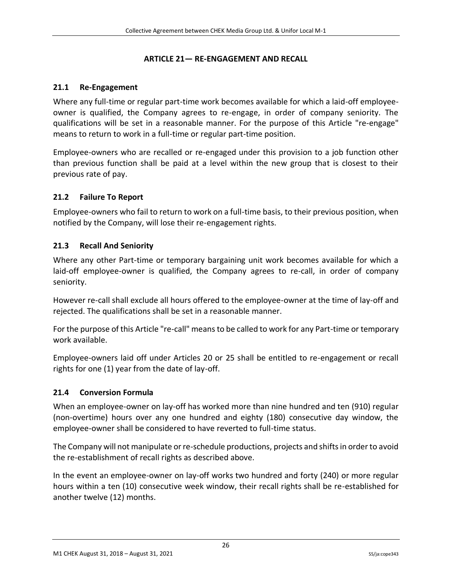#### **ARTICLE 21— RE-ENGAGEMENT AND RECALL**

#### <span id="page-26-1"></span><span id="page-26-0"></span>**21.1 Re-Engagement**

Where any full-time or regular part-time work becomes available for which a laid-off employeeowner is qualified, the Company agrees to re-engage, in order of company seniority. The qualifications will be set in a reasonable manner. For the purpose of this Article "re-engage" means to return to work in a full-time or regular part-time position.

Employee-owners who are recalled or re-engaged under this provision to a job function other than previous function shall be paid at a level within the new group that is closest to their previous rate of pay.

### <span id="page-26-2"></span>**21.2 Failure To Report**

Employee-owners who fail to return to work on a full-time basis, to their previous position, when notified by the Company, will lose their re-engagement rights.

### <span id="page-26-3"></span>**21.3 Recall And Seniority**

Where any other Part-time or temporary bargaining unit work becomes available for which a laid-off employee-owner is qualified, the Company agrees to re-call, in order of company seniority.

However re-call shall exclude all hours offered to the employee-owner at the time of lay-off and rejected. The qualifications shall be set in a reasonable manner.

For the purpose of this Article "re-call" means to be called to work for any Part-time or temporary work available.

Employee-owners laid off under Articles 20 or 25 shall be entitled to re-engagement or recall rights for one (1) year from the date of lay-off.

#### <span id="page-26-4"></span>**21.4 Conversion Formula**

When an employee-owner on lay-off has worked more than nine hundred and ten (910) regular (non-overtime) hours over any one hundred and eighty (180) consecutive day window, the employee-owner shall be considered to have reverted to full-time status.

The Company will not manipulate or re-schedule productions, projects and shifts in order to avoid the re-establishment of recall rights as described above.

In the event an employee-owner on lay-off works two hundred and forty (240) or more regular hours within a ten (10) consecutive week window, their recall rights shall be re-established for another twelve (12) months.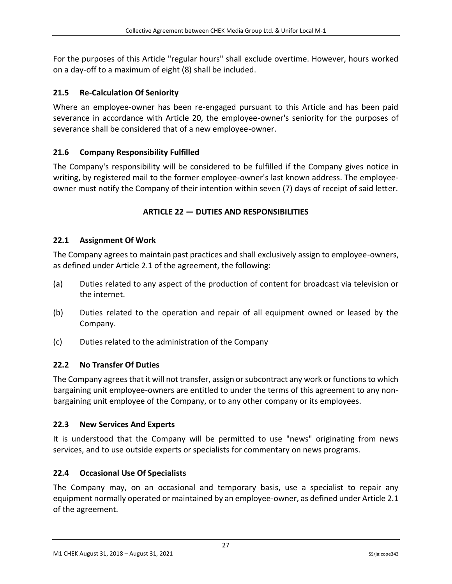For the purposes of this Article "regular hours" shall exclude overtime. However, hours worked on a day-off to a maximum of eight (8) shall be included.

# <span id="page-27-0"></span>**21.5 Re-Calculation Of Seniority**

Where an employee-owner has been re-engaged pursuant to this Article and has been paid severance in accordance with Article 20, the employee-owner's seniority for the purposes of severance shall be considered that of a new employee-owner.

# <span id="page-27-1"></span>**21.6 Company Responsibility Fulfilled**

<span id="page-27-2"></span>The Company's responsibility will be considered to be fulfilled if the Company gives notice in writing, by registered mail to the former employee-owner's last known address. The employeeowner must notify the Company of their intention within seven (7) days of receipt of said letter.

## **ARTICLE 22 — DUTIES AND RESPONSIBILITIES**

## <span id="page-27-3"></span>**22.1 Assignment Of Work**

The Company agrees to maintain past practices and shall exclusively assign to employee-owners, as defined under Article 2.1 of the agreement, the following:

- (a) Duties related to any aspect of the production of content for broadcast via television or the internet.
- (b) Duties related to the operation and repair of all equipment owned or leased by the Company.
- (c) Duties related to the administration of the Company

# <span id="page-27-4"></span>**22.2 No Transfer Of Duties**

The Company agrees that it will not transfer, assign or subcontract any work or functions to which bargaining unit employee-owners are entitled to under the terms of this agreement to any nonbargaining unit employee of the Company, or to any other company or its employees.

## <span id="page-27-5"></span>**22.3 New Services And Experts**

It is understood that the Company will be permitted to use "news" originating from news services, and to use outside experts or specialists for commentary on news programs.

## <span id="page-27-6"></span>**22.4 Occasional Use Of Specialists**

The Company may, on an occasional and temporary basis, use a specialist to repair any equipment normally operated or maintained by an employee-owner, as defined under Article 2.1 of the agreement.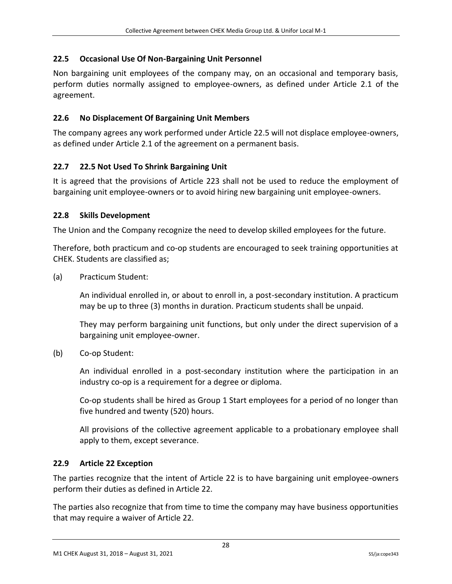## <span id="page-28-0"></span>**22.5 Occasional Use Of Non-Bargaining Unit Personnel**

Non bargaining unit employees of the company may, on an occasional and temporary basis, perform duties normally assigned to employee-owners, as defined under Article 2.1 of the agreement.

# <span id="page-28-1"></span>**22.6 No Displacement Of Bargaining Unit Members**

The company agrees any work performed under Article 22.5 will not displace employee-owners, as defined under Article 2.1 of the agreement on a permanent basis.

# <span id="page-28-2"></span>**22.7 22.5 Not Used To Shrink Bargaining Unit**

It is agreed that the provisions of Article 223 shall not be used to reduce the employment of bargaining unit employee-owners or to avoid hiring new bargaining unit employee-owners.

## <span id="page-28-3"></span>**22.8 Skills Development**

The Union and the Company recognize the need to develop skilled employees for the future.

Therefore, both practicum and co-op students are encouraged to seek training opportunities at CHEK. Students are classified as;

(a) Practicum Student:

An individual enrolled in, or about to enroll in, a post-secondary institution. A practicum may be up to three (3) months in duration. Practicum students shall be unpaid.

They may perform bargaining unit functions, but only under the direct supervision of a bargaining unit employee-owner.

(b) Co-op Student:

An individual enrolled in a post-secondary institution where the participation in an industry co-op is a requirement for a degree or diploma.

Co-op students shall be hired as Group 1 Start employees for a period of no longer than five hundred and twenty (520) hours.

All provisions of the collective agreement applicable to a probationary employee shall apply to them, except severance.

## <span id="page-28-4"></span>**22.9 Article 22 Exception**

The parties recognize that the intent of Article 22 is to have bargaining unit employee-owners perform their duties as defined in Article 22.

The parties also recognize that from time to time the company may have business opportunities that may require a waiver of Article 22.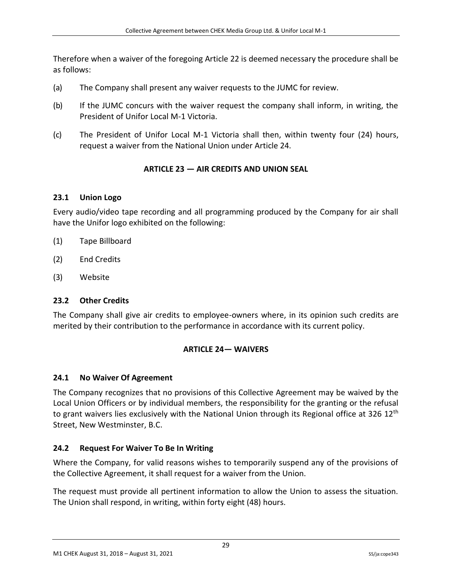Therefore when a waiver of the foregoing Article 22 is deemed necessary the procedure shall be as follows:

- (a) The Company shall present any waiver requests to the JUMC for review.
- (b) If the JUMC concurs with the waiver request the company shall inform, in writing, the President of Unifor Local M-1 Victoria.
- <span id="page-29-0"></span>(c) The President of Unifor Local M-1 Victoria shall then, within twenty four (24) hours, request a waiver from the National Union under Article 24.

## **ARTICLE 23 — AIR CREDITS AND UNION SEAL**

### <span id="page-29-1"></span>**23.1 Union Logo**

Every audio/video tape recording and all programming produced by the Company for air shall have the Unifor logo exhibited on the following:

- (1) Tape Billboard
- (2) End Credits
- (3) Website

#### <span id="page-29-2"></span>**23.2 Other Credits**

<span id="page-29-3"></span>The Company shall give air credits to employee-owners where, in its opinion such credits are merited by their contribution to the performance in accordance with its current policy.

#### **ARTICLE 24— WAIVERS**

#### <span id="page-29-4"></span>**24.1 No Waiver Of Agreement**

The Company recognizes that no provisions of this Collective Agreement may be waived by the Local Union Officers or by individual members, the responsibility for the granting or the refusal to grant waivers lies exclusively with the National Union through its Regional office at 326 12<sup>th</sup> Street, New Westminster, B.C.

#### <span id="page-29-5"></span>**24.2 Request For Waiver To Be In Writing**

Where the Company, for valid reasons wishes to temporarily suspend any of the provisions of the Collective Agreement, it shall request for a waiver from the Union.

The request must provide all pertinent information to allow the Union to assess the situation. The Union shall respond, in writing, within forty eight (48) hours.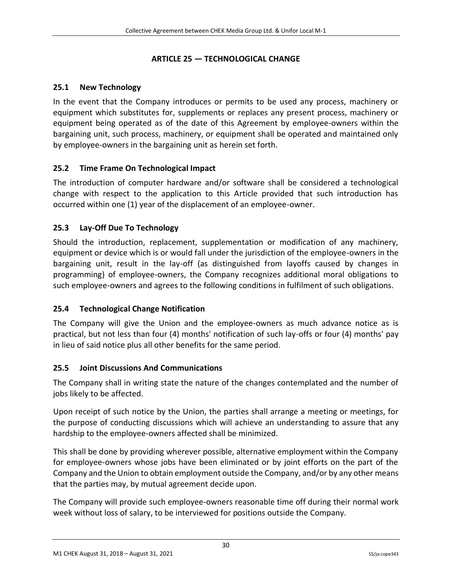# **ARTICLE 25 — TECHNOLOGICAL CHANGE**

# <span id="page-30-1"></span><span id="page-30-0"></span>**25.1 New Technology**

In the event that the Company introduces or permits to be used any process, machinery or equipment which substitutes for, supplements or replaces any present process, machinery or equipment being operated as of the date of this Agreement by employee-owners within the bargaining unit, such process, machinery, or equipment shall be operated and maintained only by employee-owners in the bargaining unit as herein set forth.

# <span id="page-30-2"></span>**25.2 Time Frame On Technological Impact**

The introduction of computer hardware and/or software shall be considered a technological change with respect to the application to this Article provided that such introduction has occurred within one (1) year of the displacement of an employee-owner.

# <span id="page-30-3"></span>**25.3 Lay-Off Due To Technology**

Should the introduction, replacement, supplementation or modification of any machinery, equipment or device which is or would fall under the jurisdiction of the employee-owners in the bargaining unit, result in the lay-off (as distinguished from layoffs caused by changes in programming) of employee-owners, the Company recognizes additional moral obligations to such employee-owners and agrees to the following conditions in fulfilment of such obligations.

## <span id="page-30-4"></span>**25.4 Technological Change Notification**

The Company will give the Union and the employee-owners as much advance notice as is practical, but not less than four (4) months' notification of such lay-offs or four (4) months' pay in lieu of said notice plus all other benefits for the same period.

## <span id="page-30-5"></span>**25.5 Joint Discussions And Communications**

The Company shall in writing state the nature of the changes contemplated and the number of jobs likely to be affected.

Upon receipt of such notice by the Union, the parties shall arrange a meeting or meetings, for the purpose of conducting discussions which will achieve an understanding to assure that any hardship to the employee-owners affected shall be minimized.

This shall be done by providing wherever possible, alternative employment within the Company for employee-owners whose jobs have been eliminated or by joint efforts on the part of the Company and the Union to obtain employment outside the Company, and/or by any other means that the parties may, by mutual agreement decide upon.

The Company will provide such employee-owners reasonable time off during their normal work week without loss of salary, to be interviewed for positions outside the Company.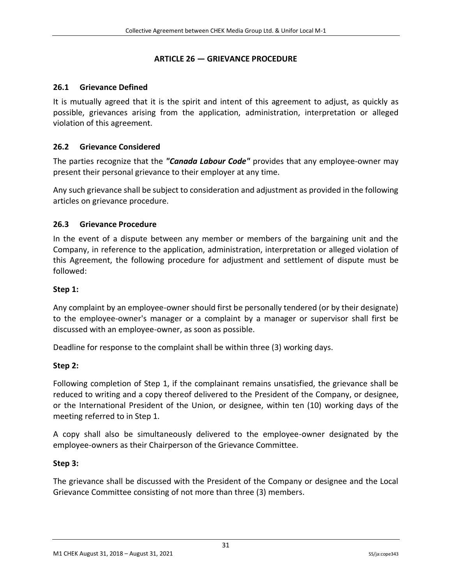### **ARTICLE 26 — GRIEVANCE PROCEDURE**

### <span id="page-31-1"></span><span id="page-31-0"></span>**26.1 Grievance Defined**

It is mutually agreed that it is the spirit and intent of this agreement to adjust, as quickly as possible, grievances arising from the application, administration, interpretation or alleged violation of this agreement.

### <span id="page-31-2"></span>**26.2 Grievance Considered**

The parties recognize that the *"Canada Labour Code"* provides that any employee-owner may present their personal grievance to their employer at any time.

Any such grievance shall be subject to consideration and adjustment as provided in the following articles on grievance procedure.

### <span id="page-31-3"></span>**26.3 Grievance Procedure**

In the event of a dispute between any member or members of the bargaining unit and the Company, in reference to the application, administration, interpretation or alleged violation of this Agreement, the following procedure for adjustment and settlement of dispute must be followed:

#### **Step 1:**

Any complaint by an employee-owner should first be personally tendered (or by their designate) to the employee-owner's manager or a complaint by a manager or supervisor shall first be discussed with an employee-owner, as soon as possible.

Deadline for response to the complaint shall be within three (3) working days.

## **Step 2:**

Following completion of Step 1, if the complainant remains unsatisfied, the grievance shall be reduced to writing and a copy thereof delivered to the President of the Company, or designee, or the International President of the Union, or designee, within ten (10) working days of the meeting referred to in Step 1.

A copy shall also be simultaneously delivered to the employee-owner designated by the employee-owners as their Chairperson of the Grievance Committee.

#### **Step 3:**

The grievance shall be discussed with the President of the Company or designee and the Local Grievance Committee consisting of not more than three (3) members.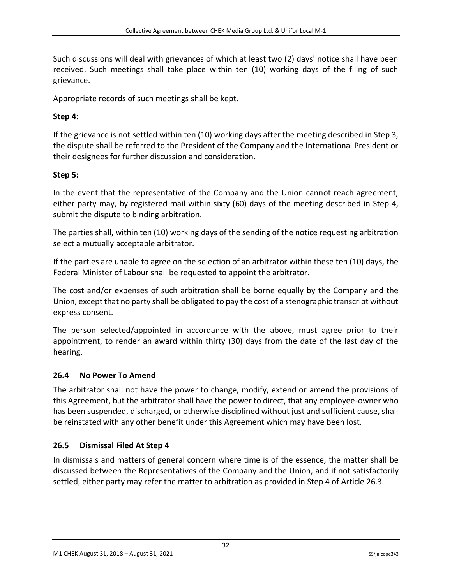Such discussions will deal with grievances of which at least two (2) days' notice shall have been received. Such meetings shall take place within ten (10) working days of the filing of such grievance.

Appropriate records of such meetings shall be kept.

# **Step 4:**

If the grievance is not settled within ten (10) working days after the meeting described in Step 3, the dispute shall be referred to the President of the Company and the International President or their designees for further discussion and consideration.

# **Step 5:**

In the event that the representative of the Company and the Union cannot reach agreement, either party may, by registered mail within sixty (60) days of the meeting described in Step 4, submit the dispute to binding arbitration.

The parties shall, within ten (10) working days of the sending of the notice requesting arbitration select a mutually acceptable arbitrator.

If the parties are unable to agree on the selection of an arbitrator within these ten (10) days, the Federal Minister of Labour shall be requested to appoint the arbitrator.

The cost and/or expenses of such arbitration shall be borne equally by the Company and the Union, except that no party shall be obligated to pay the cost of a stenographic transcript without express consent.

The person selected/appointed in accordance with the above, must agree prior to their appointment, to render an award within thirty (30) days from the date of the last day of the hearing.

## <span id="page-32-0"></span>**26.4 No Power To Amend**

The arbitrator shall not have the power to change, modify, extend or amend the provisions of this Agreement, but the arbitrator shall have the power to direct, that any employee-owner who has been suspended, discharged, or otherwise disciplined without just and sufficient cause, shall be reinstated with any other benefit under this Agreement which may have been lost.

# <span id="page-32-1"></span>**26.5 Dismissal Filed At Step 4**

In dismissals and matters of general concern where time is of the essence, the matter shall be discussed between the Representatives of the Company and the Union, and if not satisfactorily settled, either party may refer the matter to arbitration as provided in Step 4 of Article 26.3.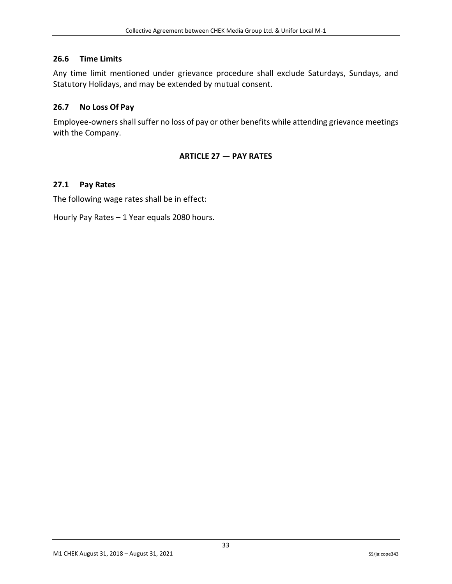### <span id="page-33-0"></span>**26.6 Time Limits**

Any time limit mentioned under grievance procedure shall exclude Saturdays, Sundays, and Statutory Holidays, and may be extended by mutual consent.

### <span id="page-33-1"></span>**26.7 No Loss Of Pay**

<span id="page-33-2"></span>Employee-owners shall suffer no loss of pay or other benefits while attending grievance meetings with the Company.

### **ARTICLE 27 — PAY RATES**

### <span id="page-33-3"></span>**27.1 Pay Rates**

The following wage rates shall be in effect:

Hourly Pay Rates – 1 Year equals 2080 hours.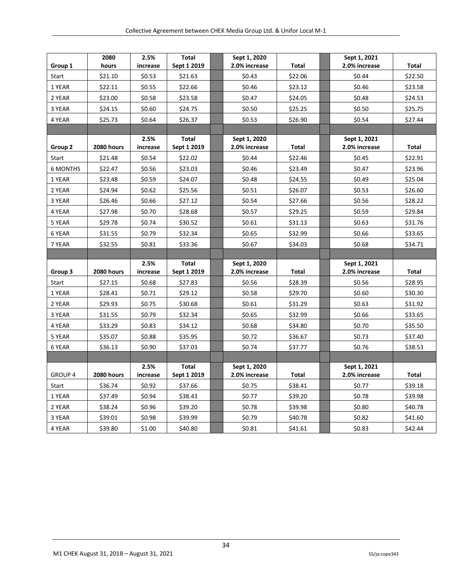| Group 1         | 2080<br>hours | 2.5%<br>increase | Total<br>Sept 1 2019        | Sept 1, 2020<br>2.0% increase | <b>Total</b> | Sept 1, 2021<br>2.0% increase | Total   |
|-----------------|---------------|------------------|-----------------------------|-------------------------------|--------------|-------------------------------|---------|
| Start           | \$21.10       | \$0.53           | \$21.63                     | \$0.43                        | \$22.06      | \$0.44                        | \$22.50 |
| 1 YEAR          | \$22.11       | \$0.55           | \$22.66                     | \$0.46                        | \$23.12      | \$0.46                        | \$23.58 |
| 2 YEAR          | \$23.00       | \$0.58           | \$23.58                     | \$0.47                        | \$24.05      | \$0.48                        | \$24.53 |
| 3 YEAR          | \$24.15       | \$0.60           | \$24.75                     | \$0.50                        | \$25.25      | \$0.50                        | \$25.75 |
| 4 YEAR          | \$25.73       | \$0.64           | \$26.37                     | \$0.53                        | \$26.90      | \$0.54                        | \$27.44 |
|                 |               |                  |                             |                               |              |                               |         |
| Group 2         | 2080 hours    | 2.5%<br>increase | Total<br>Sept 1 2019        | Sept 1, 2020<br>2.0% increase | <b>Total</b> | Sept 1, 2021<br>2.0% increase | Total   |
| Start           | \$21.48       | \$0.54           | \$22.02                     | \$0.44                        | \$22.46      | \$0.45                        | \$22.91 |
| <b>6 MONTHS</b> | \$22.47       | \$0.56           | \$23.03                     | \$0.46                        | \$23.49      | \$0.47                        | \$23.96 |
| 1 YEAR          | \$23.48       | \$0.59           | \$24.07                     | \$0.48                        | \$24.55      | \$0.49                        | \$25.04 |
| 2 YEAR          | \$24.94       | \$0.62           | \$25.56                     | \$0.51                        | \$26.07      | \$0.53                        | \$26.60 |
| 3 YEAR          | \$26.46       | \$0.66           | \$27.12                     | \$0.54                        | \$27.66      | \$0.56                        | \$28.22 |
| 4 YEAR          | \$27.98       | \$0.70           | \$28.68                     | \$0.57                        | \$29.25      | \$0.59                        | \$29.84 |
| 5 YEAR          | \$29.78       | \$0.74           | \$30.52                     | \$0.61                        | \$31.13      | \$0.63                        | \$31.76 |
| 6 YEAR          | \$31.55       | \$0.79           | \$32.34                     | \$0.65                        | \$32.99      | \$0.66                        | \$33.65 |
| 7 YEAR          | \$32.55       | \$0.81           | \$33.36                     | \$0.67                        | \$34.03      | \$0.68                        | \$34.71 |
|                 |               |                  |                             |                               |              |                               |         |
| Group 3         | 2080 hours    | 2.5%<br>increase | Total<br>Sept 1 2019        | Sept 1, 2020<br>2.0% increase | Total        | Sept 1, 2021<br>2.0% increase | Total   |
| Start           | \$27.15       | \$0.68           | \$27.83                     | \$0.56                        | \$28.39      | \$0.56                        | \$28.95 |
| 1 YEAR          | \$28.41       | \$0.71           | \$29.12                     | \$0.58                        | \$29.70      | \$0.60                        | \$30.30 |
| 2 YEAR          | \$29.93       | \$0.75           | \$30.68                     | \$0.61                        | \$31.29      | \$0.63                        | \$31.92 |
| 3 YEAR          | \$31.55       | \$0.79           | \$32.34                     | \$0.65                        | \$32.99      | \$0.66                        | \$33.65 |
| 4 YEAR          | \$33.29       | \$0.83           | \$34.12                     | \$0.68                        | \$34.80      | \$0.70                        | \$35.50 |
| 5 YEAR          | \$35.07       | \$0.88           | \$35.95                     | \$0.72                        | \$36.67      | \$0.73                        | \$37.40 |
| 6 YEAR          | \$36.13       | \$0.90           | \$37.03                     | \$0.74                        | \$37.77      | \$0.76                        | \$38.53 |
|                 |               |                  |                             |                               |              |                               |         |
| <b>GROUP 4</b>  | 2080 hours    | 2.5%<br>increase | <b>Total</b><br>Sept 1 2019 | Sept 1, 2020<br>2.0% increase | Total        | Sept 1, 2021<br>2.0% increase | Total   |
| Start           | \$36.74       | \$0.92           | \$37.66                     | \$0.75                        | \$38.41      | \$0.77                        | \$39.18 |
| 1 YEAR          | \$37.49       | \$0.94           | \$38.43                     | \$0.77                        | \$39.20      | \$0.78                        | \$39.98 |
| 2 YEAR          | \$38.24       | \$0.96           | \$39.20                     | \$0.78                        | \$39.98      | \$0.80                        | \$40.78 |
| 3 YEAR          | \$39.01       | \$0.98           | \$39.99                     | \$0.79                        | \$40.78      | \$0.82                        | \$41.60 |
| 4 YEAR          | \$39.80       | \$1.00           | \$40.80                     | \$0.81                        | \$41.61      | \$0.83                        | \$42.44 |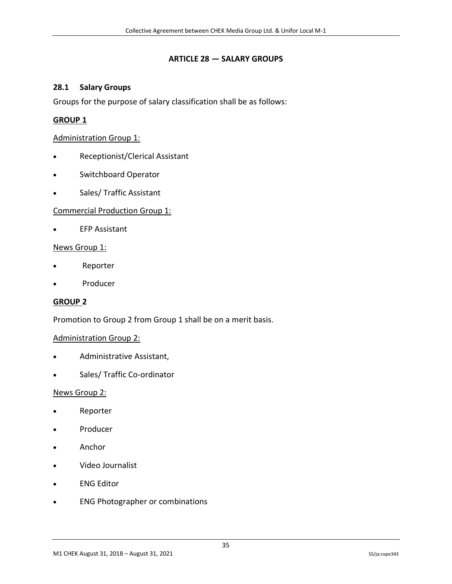#### **ARTICLE 28 — SALARY GROUPS**

#### <span id="page-35-1"></span><span id="page-35-0"></span>**28.1 Salary Groups**

Groups for the purpose of salary classification shall be as follows:

#### **GROUP 1**

#### Administration Group 1:

- Receptionist/Clerical Assistant
- Switchboard Operator
- Sales/ Traffic Assistant

#### Commercial Production Group 1:

**EFP Assistant** 

#### News Group 1:

- Reporter
- Producer

#### **GROUP 2**

Promotion to Group 2 from Group 1 shall be on a merit basis.

#### Administration Group 2:

- Administrative Assistant,
- Sales/ Traffic Co-ordinator

#### News Group 2:

- Reporter
- Producer
- Anchor
- Video Journalist
- **ENG Editor**
- ENG Photographer or combinations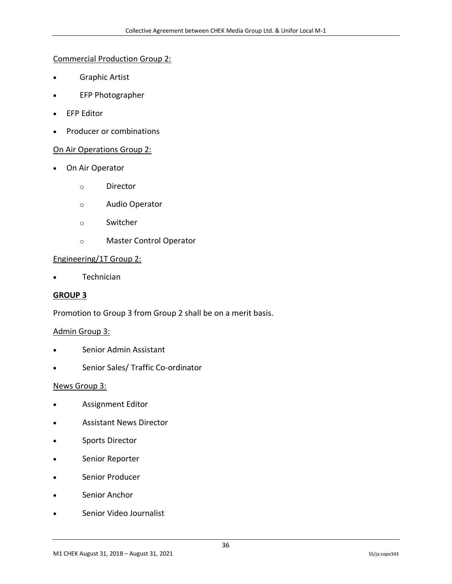#### Commercial Production Group 2:

- Graphic Artist
- EFP Photographer
- EFP Editor
- Producer or combinations

#### On Air Operations Group 2:

- On Air Operator
	- o Director
	- o Audio Operator
	- o Switcher
	- o Master Control Operator

#### Engineering/1T Group 2:

• Technician

#### **GROUP 3**

Promotion to Group 3 from Group 2 shall be on a merit basis.

#### Admin Group 3:

- Senior Admin Assistant
- Senior Sales/ Traffic Co-ordinator

#### News Group 3:

- Assignment Editor
- Assistant News Director
- Sports Director
- Senior Reporter
- Senior Producer
- Senior Anchor
- Senior Video Journalist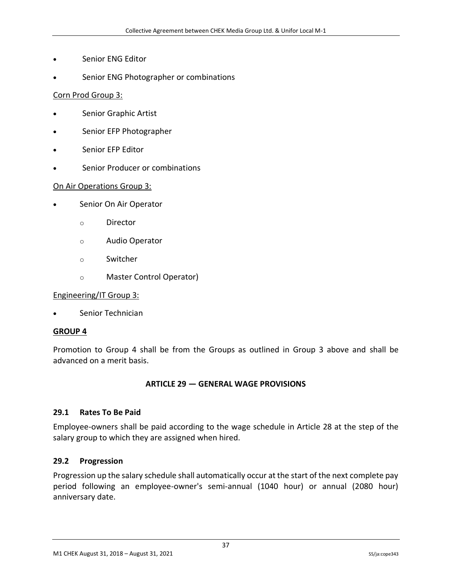- Senior ENG Editor
- Senior ENG Photographer or combinations

#### Corn Prod Group 3:

- Senior Graphic Artist
- Senior EFP Photographer
- Senior EFP Editor
- Senior Producer or combinations

#### On Air Operations Group 3:

- Senior On Air Operator
	- o Director
	- o Audio Operator
	- o Switcher
	- o Master Control Operator)

#### Engineering/IT Group 3:

Senior Technician

#### **GROUP 4**

<span id="page-37-0"></span>Promotion to Group 4 shall be from the Groups as outlined in Group 3 above and shall be advanced on a merit basis.

#### **ARTICLE 29 — GENERAL WAGE PROVISIONS**

#### <span id="page-37-1"></span>**29.1 Rates To Be Paid**

Employee-owners shall be paid according to the wage schedule in Article 28 at the step of the salary group to which they are assigned when hired.

#### <span id="page-37-2"></span>**29.2 Progression**

Progression up the salary schedule shall automatically occur at the start of the next complete pay period following an employee-owner's semi-annual (1040 hour) or annual (2080 hour) anniversary date.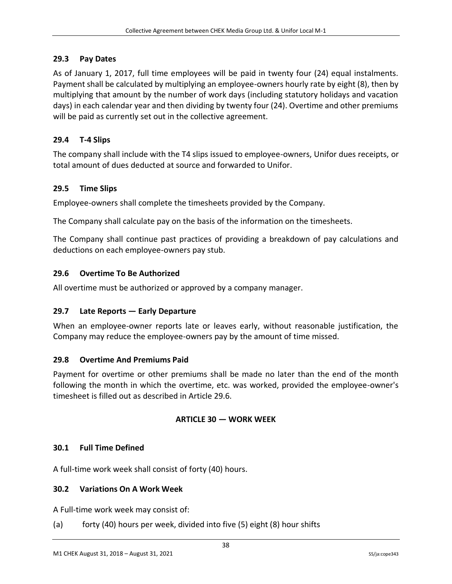### <span id="page-38-0"></span>**29.3 Pay Dates**

As of January 1, 2017, full time employees will be paid in twenty four (24) equal instalments. Payment shall be calculated by multiplying an employee-owners hourly rate by eight (8), then by multiplying that amount by the number of work days (including statutory holidays and vacation days) in each calendar year and then dividing by twenty four (24). Overtime and other premiums will be paid as currently set out in the collective agreement.

# <span id="page-38-1"></span>**29.4 T-4 Slips**

The company shall include with the T4 slips issued to employee-owners, Unifor dues receipts, or total amount of dues deducted at source and forwarded to Unifor.

## <span id="page-38-2"></span>**29.5 Time Slips**

Employee-owners shall complete the timesheets provided by the Company.

The Company shall calculate pay on the basis of the information on the timesheets.

The Company shall continue past practices of providing a breakdown of pay calculations and deductions on each employee-owners pay stub.

### <span id="page-38-3"></span>**29.6 Overtime To Be Authorized**

All overtime must be authorized or approved by a company manager.

#### <span id="page-38-4"></span>**29.7 Late Reports — Early Departure**

When an employee-owner reports late or leaves early, without reasonable justification, the Company may reduce the employee-owners pay by the amount of time missed.

#### <span id="page-38-5"></span>**29.8 Overtime And Premiums Paid**

<span id="page-38-6"></span>Payment for overtime or other premiums shall be made no later than the end of the month following the month in which the overtime, etc. was worked, provided the employee-owner's timesheet is filled out as described in Article 29.6.

#### **ARTICLE 30 — WORK WEEK**

#### <span id="page-38-7"></span>**30.1 Full Time Defined**

<span id="page-38-8"></span>A full-time work week shall consist of forty (40) hours.

#### **30.2 Variations On A Work Week**

A Full-time work week may consist of:

(a) forty (40) hours per week, divided into five (5) eight (8) hour shifts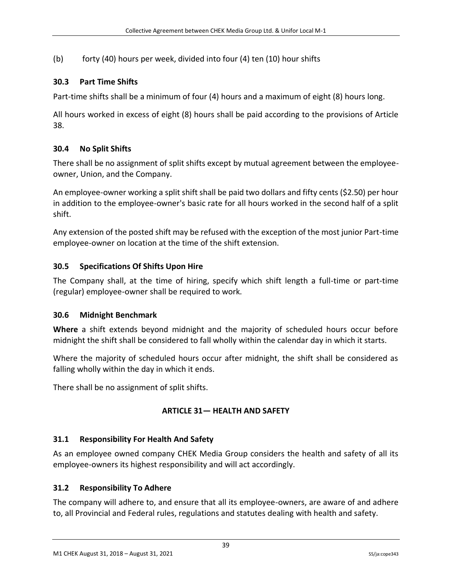(b) forty (40) hours per week, divided into four (4) ten (10) hour shifts

## <span id="page-39-0"></span>**30.3 Part Time Shifts**

Part-time shifts shall be a minimum of four (4) hours and a maximum of eight (8) hours long.

All hours worked in excess of eight (8) hours shall be paid according to the provisions of Article 38.

# <span id="page-39-1"></span>**30.4 No Split Shifts**

There shall be no assignment of split shifts except by mutual agreement between the employeeowner, Union, and the Company.

An employee-owner working a split shift shall be paid two dollars and fifty cents (\$2.50) per hour in addition to the employee-owner's basic rate for all hours worked in the second half of a split shift.

Any extension of the posted shift may be refused with the exception of the most junior Part-time employee-owner on location at the time of the shift extension.

# <span id="page-39-2"></span>**30.5 Specifications Of Shifts Upon Hire**

The Company shall, at the time of hiring, specify which shift length a full-time or part-time (regular) employee-owner shall be required to work.

## <span id="page-39-3"></span>**30.6 Midnight Benchmark**

**Where** a shift extends beyond midnight and the majority of scheduled hours occur before midnight the shift shall be considered to fall wholly within the calendar day in which it starts.

Where the majority of scheduled hours occur after midnight, the shift shall be considered as falling wholly within the day in which it ends.

<span id="page-39-4"></span>There shall be no assignment of split shifts.

## **ARTICLE 31— HEALTH AND SAFETY**

## <span id="page-39-5"></span>**31.1 Responsibility For Health And Safety**

As an employee owned company CHEK Media Group considers the health and safety of all its employee-owners its highest responsibility and will act accordingly.

#### <span id="page-39-6"></span>**31.2 Responsibility To Adhere**

The company will adhere to, and ensure that all its employee-owners, are aware of and adhere to, all Provincial and Federal rules, regulations and statutes dealing with health and safety.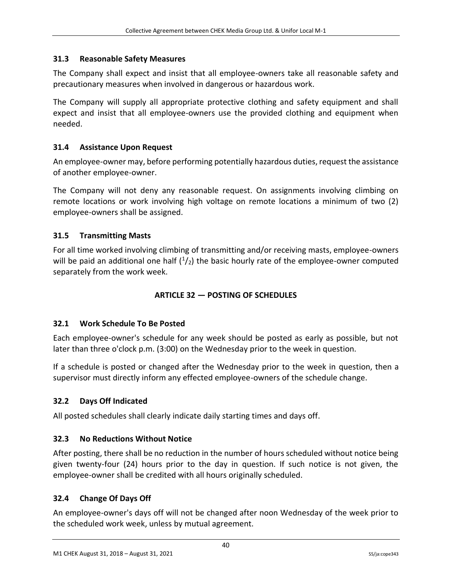## <span id="page-40-0"></span>**31.3 Reasonable Safety Measures**

The Company shall expect and insist that all employee-owners take all reasonable safety and precautionary measures when involved in dangerous or hazardous work.

The Company will supply all appropriate protective clothing and safety equipment and shall expect and insist that all employee-owners use the provided clothing and equipment when needed.

## <span id="page-40-1"></span>**31.4 Assistance Upon Request**

An employee-owner may, before performing potentially hazardous duties, request the assistance of another employee-owner.

The Company will not deny any reasonable request. On assignments involving climbing on remote locations or work involving high voltage on remote locations a minimum of two (2) employee-owners shall be assigned.

# <span id="page-40-2"></span>**31.5 Transmitting Masts**

<span id="page-40-3"></span>For all time worked involving climbing of transmitting and/or receiving masts, employee-owners will be paid an additional one half  $(1/2)$  the basic hourly rate of the employee-owner computed separately from the work week.

# **ARTICLE 32 — POSTING OF SCHEDULES**

## <span id="page-40-4"></span>**32.1 Work Schedule To Be Posted**

Each employee-owner's schedule for any week should be posted as early as possible, but not later than three o'clock p.m. (3:00) on the Wednesday prior to the week in question.

If a schedule is posted or changed after the Wednesday prior to the week in question, then a supervisor must directly inform any effected employee-owners of the schedule change.

# <span id="page-40-5"></span>**32.2 Days Off Indicated**

All posted schedules shall clearly indicate daily starting times and days off.

## <span id="page-40-6"></span>**32.3 No Reductions Without Notice**

After posting, there shall be no reduction in the number of hours scheduled without notice being given twenty-four (24) hours prior to the day in question. If such notice is not given, the employee-owner shall be credited with all hours originally scheduled.

## <span id="page-40-7"></span>**32.4 Change Of Days Off**

An employee-owner's days off will not be changed after noon Wednesday of the week prior to the scheduled work week, unless by mutual agreement.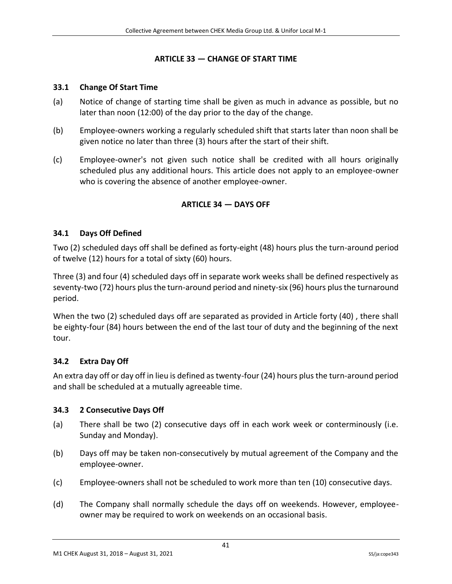#### **ARTICLE 33 — CHANGE OF START TIME**

#### <span id="page-41-1"></span><span id="page-41-0"></span>**33.1 Change Of Start Time**

- (a) Notice of change of starting time shall be given as much in advance as possible, but no later than noon (12:00) of the day prior to the day of the change.
- (b) Employee-owners working a regularly scheduled shift that starts later than noon shall be given notice no later than three (3) hours after the start of their shift.
- <span id="page-41-2"></span>(c) Employee-owner's not given such notice shall be credited with all hours originally scheduled plus any additional hours. This article does not apply to an employee-owner who is covering the absence of another employee-owner.

## **ARTICLE 34 — DAYS OFF**

### <span id="page-41-3"></span>**34.1 Days Off Defined**

Two (2) scheduled days off shall be defined as forty-eight (48) hours plus the turn-around period of twelve (12) hours for a total of sixty (60) hours.

Three (3) and four (4) scheduled days off in separate work weeks shall be defined respectively as seventy-two (72) hours plus the turn-around period and ninety-six (96) hours plus the turnaround period.

When the two (2) scheduled days off are separated as provided in Article forty (40) , there shall be eighty-four (84) hours between the end of the last tour of duty and the beginning of the next tour.

#### <span id="page-41-4"></span>**34.2 Extra Day Off**

An extra day off or day off in lieu is defined as twenty-four (24) hours plus the turn-around period and shall be scheduled at a mutually agreeable time.

#### <span id="page-41-5"></span>**34.3 2 Consecutive Days Off**

- (a) There shall be two (2) consecutive days off in each work week or conterminously (i.e. Sunday and Monday).
- (b) Days off may be taken non-consecutively by mutual agreement of the Company and the employee-owner.
- (c) Employee-owners shall not be scheduled to work more than ten (10) consecutive days.
- (d) The Company shall normally schedule the days off on weekends. However, employeeowner may be required to work on weekends on an occasional basis.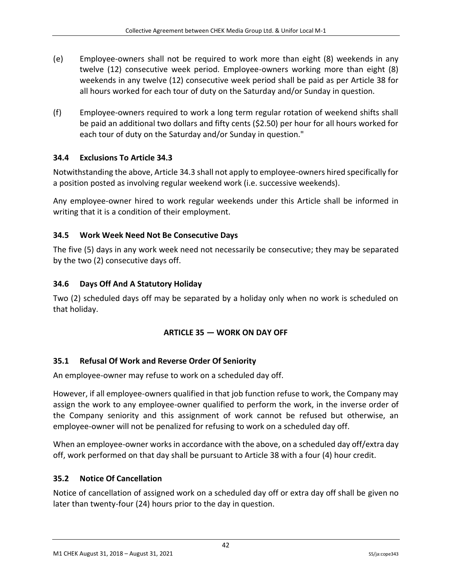- (e) Employee-owners shall not be required to work more than eight (8) weekends in any twelve (12) consecutive week period. Employee-owners working more than eight (8) weekends in any twelve (12) consecutive week period shall be paid as per Article 38 for all hours worked for each tour of duty on the Saturday and/or Sunday in question.
- (f) Employee-owners required to work a long term regular rotation of weekend shifts shall be paid an additional two dollars and fifty cents (\$2.50) per hour for all hours worked for each tour of duty on the Saturday and/or Sunday in question."

# <span id="page-42-0"></span>**34.4 Exclusions To Article 34.3**

Notwithstanding the above, Article 34.3 shall not apply to employee-owners hired specifically for a position posted as involving regular weekend work (i.e. successive weekends).

Any employee-owner hired to work regular weekends under this Article shall be informed in writing that it is a condition of their employment.

# <span id="page-42-1"></span>**34.5 Work Week Need Not Be Consecutive Days**

The five (5) days in any work week need not necessarily be consecutive; they may be separated by the two (2) consecutive days off.

# <span id="page-42-2"></span>**34.6 Days Off And A Statutory Holiday**

<span id="page-42-3"></span>Two (2) scheduled days off may be separated by a holiday only when no work is scheduled on that holiday.

## **ARTICLE 35 — WORK ON DAY OFF**

# <span id="page-42-4"></span>**35.1 Refusal Of Work and Reverse Order Of Seniority**

An employee-owner may refuse to work on a scheduled day off.

However, if all employee-owners qualified in that job function refuse to work, the Company may assign the work to any employee-owner qualified to perform the work, in the inverse order of the Company seniority and this assignment of work cannot be refused but otherwise, an employee-owner will not be penalized for refusing to work on a scheduled day off.

When an employee-owner works in accordance with the above, on a scheduled day off/extra day off, work performed on that day shall be pursuant to Article 38 with a four (4) hour credit.

## <span id="page-42-5"></span>**35.2 Notice Of Cancellation**

Notice of cancellation of assigned work on a scheduled day off or extra day off shall be given no later than twenty-four (24) hours prior to the day in question.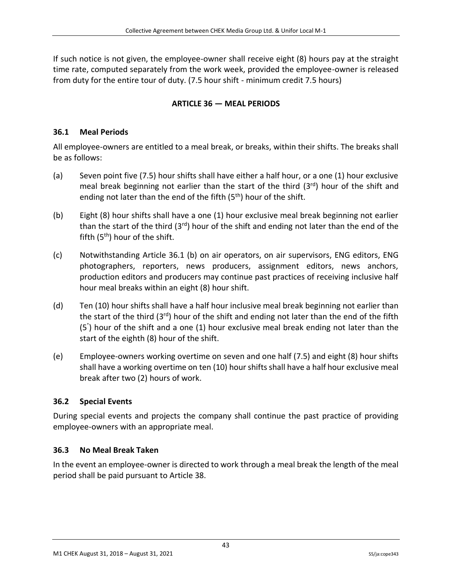<span id="page-43-0"></span>If such notice is not given, the employee-owner shall receive eight (8) hours pay at the straight time rate, computed separately from the work week, provided the employee-owner is released from duty for the entire tour of duty. (7.5 hour shift - minimum credit 7.5 hours)

# **ARTICLE 36 — MEAL PERIODS**

# <span id="page-43-1"></span>**36.1 Meal Periods**

All employee-owners are entitled to a meal break, or breaks, within their shifts. The breaks shall be as follows:

- (a) Seven point five (7.5) hour shifts shall have either a half hour, or a one (1) hour exclusive meal break beginning not earlier than the start of the third  $(3<sup>rd</sup>)$  hour of the shift and ending not later than the end of the fifth  $(5<sup>th</sup>)$  hour of the shift.
- (b) Eight (8) hour shifts shall have a one (1) hour exclusive meal break beginning not earlier than the start of the third (3<sup>rd</sup>) hour of the shift and ending not later than the end of the fifth  $(5<sup>th</sup>)$  hour of the shift.
- (c) Notwithstanding Article 36.1 (b) on air operators, on air supervisors, ENG editors, ENG photographers, reporters, news producers, assignment editors, news anchors, production editors and producers may continue past practices of receiving inclusive half hour meal breaks within an eight (8) hour shift.
- (d) Ten (10) hour shifts shall have a half hour inclusive meal break beginning not earlier than the start of the third  $(3<sup>rd</sup>)$  hour of the shift and ending not later than the end of the fifth (5° ) hour of the shift and a one (1) hour exclusive meal break ending not later than the start of the eighth (8) hour of the shift.
- (e) Employee-owners working overtime on seven and one half (7.5) and eight (8) hour shifts shall have a working overtime on ten (10) hour shifts shall have a half hour exclusive meal break after two (2) hours of work.

# <span id="page-43-2"></span>**36.2 Special Events**

During special events and projects the company shall continue the past practice of providing employee-owners with an appropriate meal.

# <span id="page-43-3"></span>**36.3 No Meal Break Taken**

In the event an employee-owner is directed to work through a meal break the length of the meal period shall be paid pursuant to Article 38.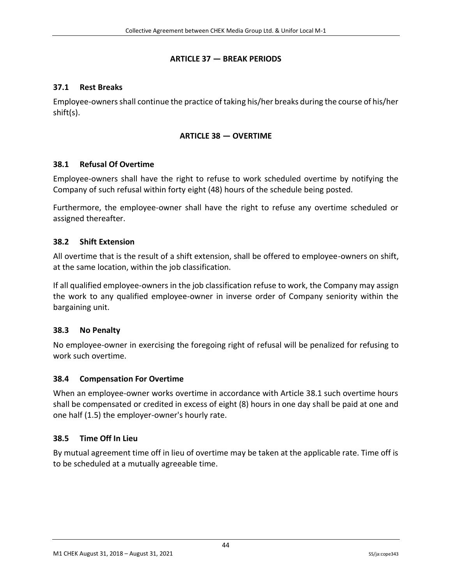#### **ARTICLE 37 — BREAK PERIODS**

#### <span id="page-44-1"></span><span id="page-44-0"></span>**37.1 Rest Breaks**

<span id="page-44-2"></span>Employee-owners shall continue the practice of taking his/her breaks during the course of his/her shift(s).

#### **ARTICLE 38 — OVERTIME**

#### <span id="page-44-3"></span>**38.1 Refusal Of Overtime**

Employee-owners shall have the right to refuse to work scheduled overtime by notifying the Company of such refusal within forty eight (48) hours of the schedule being posted.

Furthermore, the employee-owner shall have the right to refuse any overtime scheduled or assigned thereafter.

#### <span id="page-44-4"></span>**38.2 Shift Extension**

All overtime that is the result of a shift extension, shall be offered to employee-owners on shift, at the same location, within the job classification.

If all qualified employee-owners in the job classification refuse to work, the Company may assign the work to any qualified employee-owner in inverse order of Company seniority within the bargaining unit.

#### <span id="page-44-5"></span>**38.3 No Penalty**

No employee-owner in exercising the foregoing right of refusal will be penalized for refusing to work such overtime.

#### <span id="page-44-6"></span>**38.4 Compensation For Overtime**

When an employee-owner works overtime in accordance with Article 38.1 such overtime hours shall be compensated or credited in excess of eight (8) hours in one day shall be paid at one and one half (1.5) the employer-owner's hourly rate.

#### <span id="page-44-7"></span>**38.5 Time Off In Lieu**

By mutual agreement time off in lieu of overtime may be taken at the applicable rate. Time off is to be scheduled at a mutually agreeable time.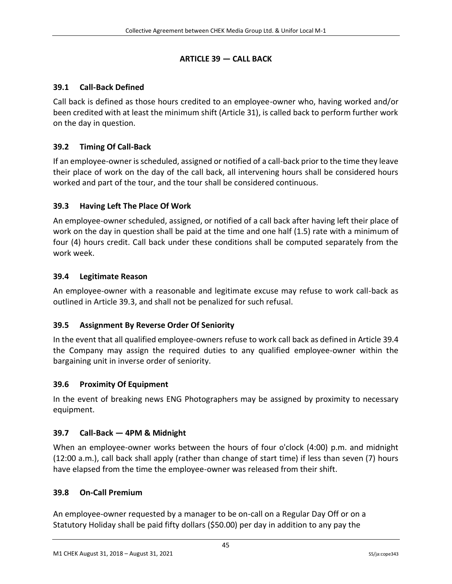# **ARTICLE 39 — CALL BACK**

# <span id="page-45-1"></span><span id="page-45-0"></span>**39.1 Call-Back Defined**

Call back is defined as those hours credited to an employee-owner who, having worked and/or been credited with at least the minimum shift (Article 31), is called back to perform further work on the day in question.

# <span id="page-45-2"></span>**39.2 Timing Of Call-Back**

If an employee-owner is scheduled, assigned or notified of a call-back prior to the time they leave their place of work on the day of the call back, all intervening hours shall be considered hours worked and part of the tour, and the tour shall be considered continuous.

# <span id="page-45-3"></span>**39.3 Having Left The Place Of Work**

An employee-owner scheduled, assigned, or notified of a call back after having left their place of work on the day in question shall be paid at the time and one half (1.5) rate with a minimum of four (4) hours credit. Call back under these conditions shall be computed separately from the work week.

## <span id="page-45-4"></span>**39.4 Legitimate Reason**

An employee-owner with a reasonable and legitimate excuse may refuse to work call-back as outlined in Article 39.3, and shall not be penalized for such refusal.

## <span id="page-45-5"></span>**39.5 Assignment By Reverse Order Of Seniority**

In the event that all qualified employee-owners refuse to work call back as defined in Article 39.4 the Company may assign the required duties to any qualified employee-owner within the bargaining unit in inverse order of seniority.

## <span id="page-45-6"></span>**39.6 Proximity Of Equipment**

In the event of breaking news ENG Photographers may be assigned by proximity to necessary equipment.

## <span id="page-45-7"></span>**39.7 Call-Back — 4PM & Midnight**

When an employee-owner works between the hours of four o'clock (4:00) p.m. and midnight (12:00 a.m.), call back shall apply (rather than change of start time) if less than seven (7) hours have elapsed from the time the employee-owner was released from their shift.

#### <span id="page-45-8"></span>**39.8 On-Call Premium**

An employee-owner requested by a manager to be on-call on a Regular Day Off or on a Statutory Holiday shall be paid fifty dollars (\$50.00) per day in addition to any pay the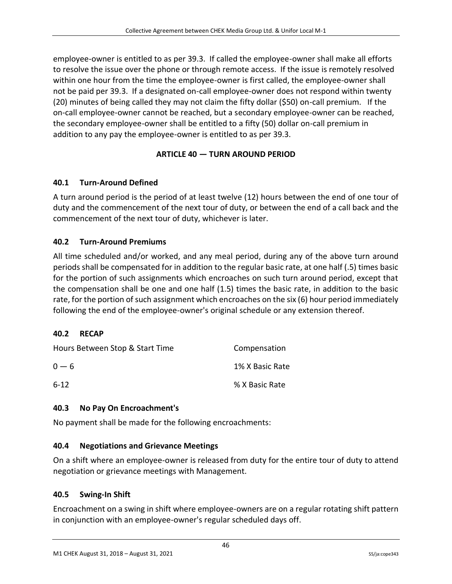employee-owner is entitled to as per 39.3. If called the employee-owner shall make all efforts to resolve the issue over the phone or through remote access. If the issue is remotely resolved within one hour from the time the employee-owner is first called, the employee-owner shall not be paid per 39.3. If a designated on-call employee-owner does not respond within twenty (20) minutes of being called they may not claim the fifty dollar (\$50) on-call premium. If the on-call employee-owner cannot be reached, but a secondary employee-owner can be reached, the secondary employee-owner shall be entitled to a fifty (50) dollar on-call premium in addition to any pay the employee-owner is entitled to as per 39.3.

# **ARTICLE 40 — TURN AROUND PERIOD**

## <span id="page-46-1"></span><span id="page-46-0"></span>**40.1 Turn-Around Defined**

A turn around period is the period of at least twelve (12) hours between the end of one tour of duty and the commencement of the next tour of duty, or between the end of a call back and the commencement of the next tour of duty, whichever is later.

## <span id="page-46-2"></span>**40.2 Turn-Around Premiums**

All time scheduled and/or worked, and any meal period, during any of the above turn around periods shall be compensated for in addition to the regular basic rate, at one half (.5) times basic for the portion of such assignments which encroaches on such turn around period, except that the compensation shall be one and one half (1.5) times the basic rate, in addition to the basic rate, for the portion of such assignment which encroaches on the six (6) hour period immediately following the end of the employee-owner's original schedule or any extension thereof.

## <span id="page-46-3"></span>**40.2 RECAP**

| Hours Between Stop & Start Time | Compensation    |
|---------------------------------|-----------------|
| $0 - 6$                         | 1% X Basic Rate |
| $6-12$                          | % X Basic Rate  |

## <span id="page-46-4"></span>**40.3 No Pay On Encroachment's**

No payment shall be made for the following encroachments:

## <span id="page-46-5"></span>**40.4 Negotiations and Grievance Meetings**

On a shift where an employee-owner is released from duty for the entire tour of duty to attend negotiation or grievance meetings with Management.

## <span id="page-46-6"></span>**40.5 Swing-In Shift**

Encroachment on a swing in shift where employee-owners are on a regular rotating shift pattern in conjunction with an employee-owner's regular scheduled days off.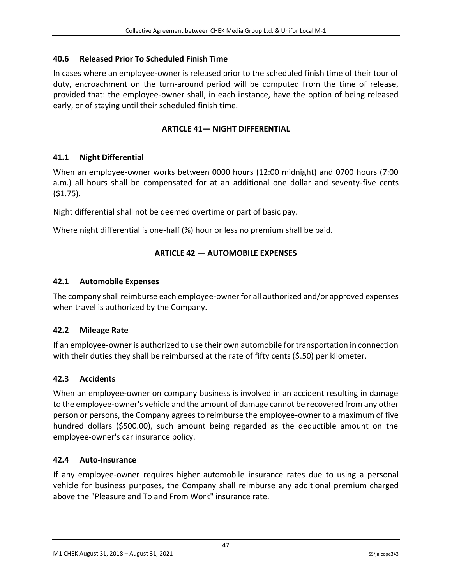### <span id="page-47-0"></span>**40.6 Released Prior To Scheduled Finish Time**

In cases where an employee-owner is released prior to the scheduled finish time of their tour of duty, encroachment on the turn-around period will be computed from the time of release, provided that: the employee-owner shall, in each instance, have the option of being released early, or of staying until their scheduled finish time.

### **ARTICLE 41— NIGHT DIFFERENTIAL**

## <span id="page-47-2"></span><span id="page-47-1"></span>**41.1 Night Differential**

When an employee-owner works between 0000 hours (12:00 midnight) and 0700 hours (7:00 a.m.) all hours shall be compensated for at an additional one dollar and seventy-five cents (\$1.75).

Night differential shall not be deemed overtime or part of basic pay.

<span id="page-47-3"></span>Where night differential is one-half (%) hour or less no premium shall be paid.

## **ARTICLE 42 — AUTOMOBILE EXPENSES**

#### <span id="page-47-4"></span>**42.1 Automobile Expenses**

The company shall reimburse each employee-owner for all authorized and/or approved expenses when travel is authorized by the Company.

#### <span id="page-47-5"></span>**42.2 Mileage Rate**

If an employee-owner is authorized to use their own automobile for transportation in connection with their duties they shall be reimbursed at the rate of fifty cents (\$.50) per kilometer.

## <span id="page-47-6"></span>**42.3 Accidents**

When an employee-owner on company business is involved in an accident resulting in damage to the employee-owner's vehicle and the amount of damage cannot be recovered from any other person or persons, the Company agrees to reimburse the employee-owner to a maximum of five hundred dollars (\$500.00), such amount being regarded as the deductible amount on the employee-owner's car insurance policy.

#### <span id="page-47-7"></span>**42.4 Auto-Insurance**

If any employee-owner requires higher automobile insurance rates due to using a personal vehicle for business purposes, the Company shall reimburse any additional premium charged above the "Pleasure and To and From Work" insurance rate.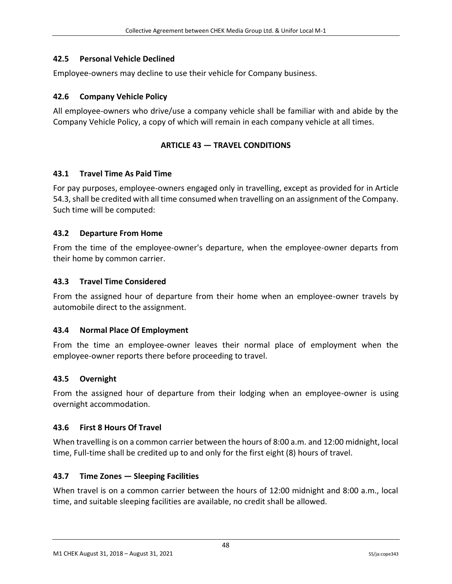## <span id="page-48-0"></span>**42.5 Personal Vehicle Declined**

Employee-owners may decline to use their vehicle for Company business.

### <span id="page-48-1"></span>**42.6 Company Vehicle Policy**

<span id="page-48-2"></span>All employee-owners who drive/use a company vehicle shall be familiar with and abide by the Company Vehicle Policy, a copy of which will remain in each company vehicle at all times.

### **ARTICLE 43 — TRAVEL CONDITIONS**

#### <span id="page-48-3"></span>**43.1 Travel Time As Paid Time**

For pay purposes, employee-owners engaged only in travelling, except as provided for in Article 54.3, shall be credited with all time consumed when travelling on an assignment of the Company. Such time will be computed:

### <span id="page-48-4"></span>**43.2 Departure From Home**

From the time of the employee-owner's departure, when the employee-owner departs from their home by common carrier.

### <span id="page-48-5"></span>**43.3 Travel Time Considered**

From the assigned hour of departure from their home when an employee-owner travels by automobile direct to the assignment.

#### <span id="page-48-6"></span>**43.4 Normal Place Of Employment**

From the time an employee-owner leaves their normal place of employment when the employee-owner reports there before proceeding to travel.

#### <span id="page-48-7"></span>**43.5 Overnight**

From the assigned hour of departure from their lodging when an employee-owner is using overnight accommodation.

#### <span id="page-48-8"></span>**43.6 First 8 Hours Of Travel**

When travelling is on a common carrier between the hours of 8:00 a.m. and 12:00 midnight, local time, Full-time shall be credited up to and only for the first eight (8) hours of travel.

## <span id="page-48-9"></span>**43.7 Time Zones — Sleeping Facilities**

When travel is on a common carrier between the hours of 12:00 midnight and 8:00 a.m., local time, and suitable sleeping facilities are available, no credit shall be allowed.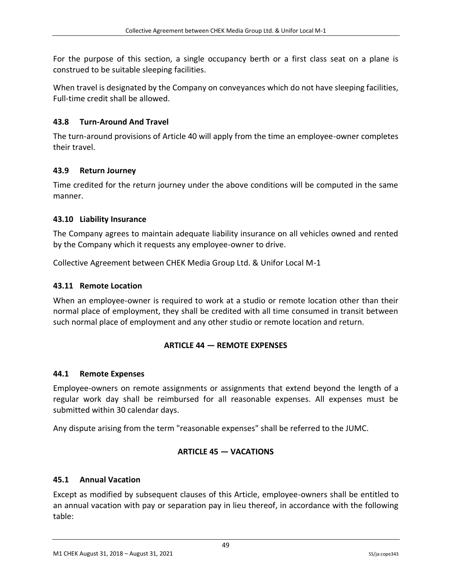For the purpose of this section, a single occupancy berth or a first class seat on a plane is construed to be suitable sleeping facilities.

When travel is designated by the Company on conveyances which do not have sleeping facilities, Full-time credit shall be allowed.

### <span id="page-49-0"></span>**43.8 Turn-Around And Travel**

The turn-around provisions of Article 40 will apply from the time an employee-owner completes their travel.

### <span id="page-49-1"></span>**43.9 Return Journey**

Time credited for the return journey under the above conditions will be computed in the same manner.

### <span id="page-49-2"></span>**43.10 Liability Insurance**

The Company agrees to maintain adequate liability insurance on all vehicles owned and rented by the Company which it requests any employee-owner to drive.

Collective Agreement between CHEK Media Group Ltd. & Unifor Local M-1

### <span id="page-49-3"></span>**43.11 Remote Location**

<span id="page-49-4"></span>When an employee-owner is required to work at a studio or remote location other than their normal place of employment, they shall be credited with all time consumed in transit between such normal place of employment and any other studio or remote location and return.

#### **ARTICLE 44 — REMOTE EXPENSES**

#### <span id="page-49-5"></span>**44.1 Remote Expenses**

Employee-owners on remote assignments or assignments that extend beyond the length of a regular work day shall be reimbursed for all reasonable expenses. All expenses must be submitted within 30 calendar days.

<span id="page-49-6"></span>Any dispute arising from the term "reasonable expenses" shall be referred to the JUMC.

## **ARTICLE 45 — VACATIONS**

#### <span id="page-49-7"></span>**45.1 Annual Vacation**

Except as modified by subsequent clauses of this Article, employee-owners shall be entitled to an annual vacation with pay or separation pay in lieu thereof, in accordance with the following table: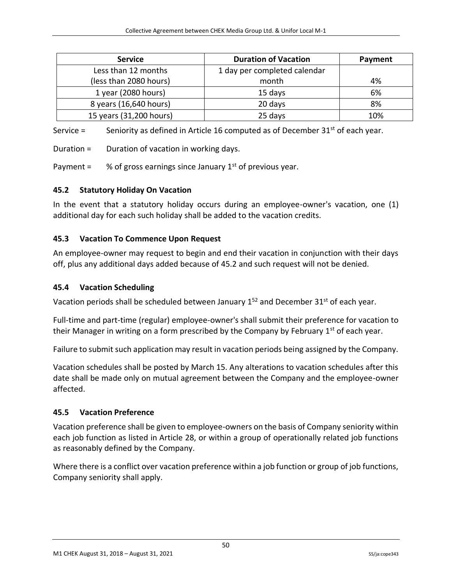| <b>Service</b>          | <b>Duration of Vacation</b>  | Payment |
|-------------------------|------------------------------|---------|
| Less than 12 months     | 1 day per completed calendar |         |
| (less than 2080 hours)  | month                        | 4%      |
| 1 year (2080 hours)     | 15 days                      | 6%      |
| 8 years (16,640 hours)  | 20 days                      | 8%      |
| 15 years (31,200 hours) | 25 days                      | 10%     |

Service  $=$  Seniority as defined in Article 16 computed as of December 31<sup>st</sup> of each year.

Duration = Duration of vacation in working days.

Payment =  $%$  % of gross earnings since January 1<sup>st</sup> of previous year.

### <span id="page-50-0"></span>**45.2 Statutory Holiday On Vacation**

In the event that a statutory holiday occurs during an employee-owner's vacation, one (1) additional day for each such holiday shall be added to the vacation credits.

### <span id="page-50-1"></span>**45.3 Vacation To Commence Upon Request**

An employee-owner may request to begin and end their vacation in conjunction with their days off, plus any additional days added because of 45.2 and such request will not be denied.

#### <span id="page-50-2"></span>**45.4 Vacation Scheduling**

Vacation periods shall be scheduled between January  $1^{52}$  and December  $31^{st}$  of each year.

Full-time and part-time (regular) employee-owner's shall submit their preference for vacation to their Manager in writing on a form prescribed by the Company by February  $1<sup>st</sup>$  of each year.

Failure to submit such application may result in vacation periods being assigned by the Company.

Vacation schedules shall be posted by March 15. Any alterations to vacation schedules after this date shall be made only on mutual agreement between the Company and the employee-owner affected.

#### <span id="page-50-3"></span>**45.5 Vacation Preference**

Vacation preference shall be given to employee-owners on the basis of Company seniority within each job function as listed in Article 28, or within a group of operationally related job functions as reasonably defined by the Company.

Where there is a conflict over vacation preference within a job function or group of job functions, Company seniority shall apply.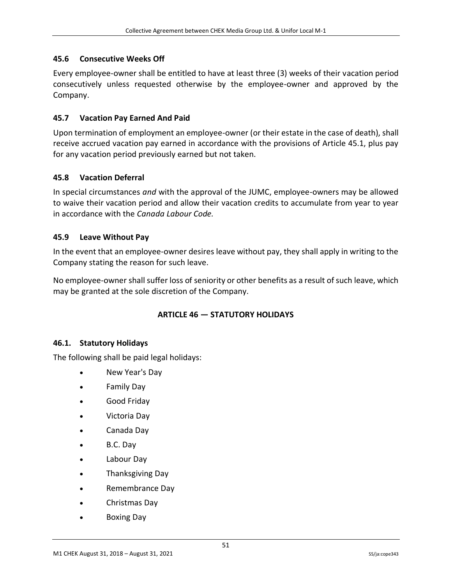### <span id="page-51-0"></span>**45.6 Consecutive Weeks Off**

Every employee-owner shall be entitled to have at least three (3) weeks of their vacation period consecutively unless requested otherwise by the employee-owner and approved by the Company.

### <span id="page-51-1"></span>**45.7 Vacation Pay Earned And Paid**

Upon termination of employment an employee-owner (or their estate in the case of death), shall receive accrued vacation pay earned in accordance with the provisions of Article 45.1, plus pay for any vacation period previously earned but not taken.

### <span id="page-51-2"></span>**45.8 Vacation Deferral**

In special circumstances *and* with the approval of the JUMC, employee-owners may be allowed to waive their vacation period and allow their vacation credits to accumulate from year to year in accordance with the *Canada Labour Code.*

### <span id="page-51-3"></span>**45.9 Leave Without Pay**

In the event that an employee-owner desires leave without pay, they shall apply in writing to the Company stating the reason for such leave.

<span id="page-51-4"></span>No employee-owner shall suffer loss of seniority or other benefits as a result of such leave, which may be granted at the sole discretion of the Company.

## **ARTICLE 46 — STATUTORY HOLIDAYS**

#### <span id="page-51-5"></span>**46.1. Statutory Holidays**

The following shall be paid legal holidays:

- New Year's Day
- Family Day
- Good Friday
- Victoria Day
- Canada Day
- B.C. Day
- Labour Day
- Thanksgiving Day
- Remembrance Day
- Christmas Day
- Boxing Day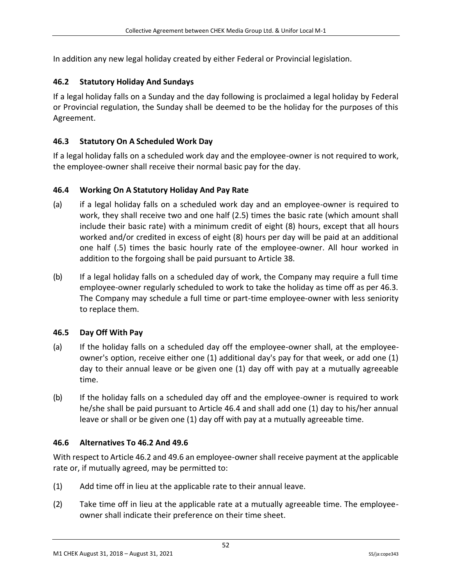In addition any new legal holiday created by either Federal or Provincial legislation.

### <span id="page-52-0"></span>**46.2 Statutory Holiday And Sundays**

If a legal holiday falls on a Sunday and the day following is proclaimed a legal holiday by Federal or Provincial regulation, the Sunday shall be deemed to be the holiday for the purposes of this Agreement.

## <span id="page-52-1"></span>**46.3 Statutory On A Scheduled Work Day**

If a legal holiday falls on a scheduled work day and the employee-owner is not required to work, the employee-owner shall receive their normal basic pay for the day.

### <span id="page-52-2"></span>**46.4 Working On A Statutory Holiday And Pay Rate**

- (a) if a legal holiday falls on a scheduled work day and an employee-owner is required to work, they shall receive two and one half (2.5) times the basic rate (which amount shall include their basic rate) with a minimum credit of eight (8) hours, except that all hours worked and/or credited in excess of eight (8) hours per day will be paid at an additional one half (.5) times the basic hourly rate of the employee-owner. All hour worked in addition to the forgoing shall be paid pursuant to Article 38.
- (b) If a legal holiday falls on a scheduled day of work, the Company may require a full time employee-owner regularly scheduled to work to take the holiday as time off as per 46.3. The Company may schedule a full time or part-time employee-owner with less seniority to replace them.

#### <span id="page-52-3"></span>**46.5 Day Off With Pay**

- (a) If the holiday falls on a scheduled day off the employee-owner shall, at the employeeowner's option, receive either one (1) additional day's pay for that week, or add one (1) day to their annual leave or be given one (1) day off with pay at a mutually agreeable time.
- (b) If the holiday falls on a scheduled day off and the employee-owner is required to work he/she shall be paid pursuant to Article 46.4 and shall add one (1) day to his/her annual leave or shall or be given one (1) day off with pay at a mutually agreeable time.

#### <span id="page-52-4"></span>**46.6 Alternatives To 46.2 And 49.6**

With respect to Article 46.2 and 49.6 an employee-owner shall receive payment at the applicable rate or, if mutually agreed, may be permitted to:

- (1) Add time off in lieu at the applicable rate to their annual leave.
- (2) Take time off in lieu at the applicable rate at a mutually agreeable time. The employeeowner shall indicate their preference on their time sheet.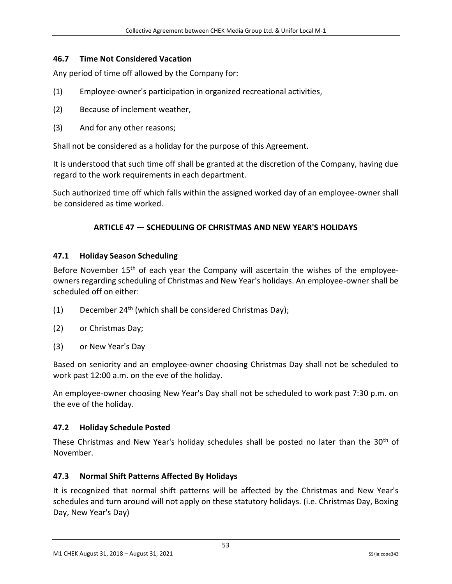### <span id="page-53-0"></span>**46.7 Time Not Considered Vacation**

Any period of time off allowed by the Company for:

- (1) Employee-owner's participation in organized recreational activities,
- (2) Because of inclement weather,
- (3) And for any other reasons;

Shall not be considered as a holiday for the purpose of this Agreement.

It is understood that such time off shall be granted at the discretion of the Company, having due regard to the work requirements in each department.

<span id="page-53-1"></span>Such authorized time off which falls within the assigned worked day of an employee-owner shall be considered as time worked.

### **ARTICLE 47 — SCHEDULING OF CHRISTMAS AND NEW YEAR'S HOLIDAYS**

#### <span id="page-53-2"></span>**47.1 Holiday Season Scheduling**

Before November  $15<sup>th</sup>$  of each year the Company will ascertain the wishes of the employeeowners regarding scheduling of Christmas and New Year's holidays. An employee-owner shall be scheduled off on either:

- (1) December  $24<sup>th</sup>$  (which shall be considered Christmas Day);
- (2) or Christmas Day;
- (3) or New Year's Day

Based on seniority and an employee-owner choosing Christmas Day shall not be scheduled to work past 12:00 a.m. on the eve of the holiday.

An employee-owner choosing New Year's Day shall not be scheduled to work past 7:30 p.m. on the eve of the holiday.

#### <span id="page-53-3"></span>**47.2 Holiday Schedule Posted**

These Christmas and New Year's holiday schedules shall be posted no later than the 30<sup>th</sup> of November.

## <span id="page-53-4"></span>**47.3 Normal Shift Patterns Affected By Holidays**

It is recognized that normal shift patterns will be affected by the Christmas and New Year's schedules and turn around will not apply on these statutory holidays. (i.e. Christmas Day, Boxing Day, New Year's Day)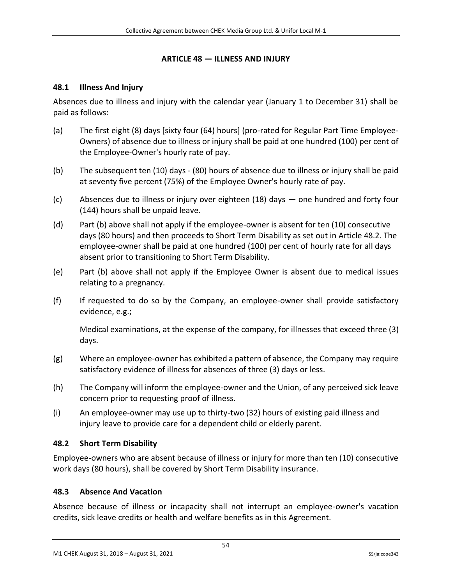#### **ARTICLE 48 — ILLNESS AND INJURY**

#### <span id="page-54-1"></span><span id="page-54-0"></span>**48.1 Illness And Injury**

Absences due to illness and injury with the calendar year (January 1 to December 31) shall be paid as follows:

- (a) The first eight (8) days [sixty four (64) hours] (pro-rated for Regular Part Time Employee-Owners) of absence due to illness or injury shall be paid at one hundred (100) per cent of the Employee-Owner's hourly rate of pay.
- (b) The subsequent ten (10) days (80) hours of absence due to illness or injury shall be paid at seventy five percent (75%) of the Employee Owner's hourly rate of pay.
- (c) Absences due to illness or injury over eighteen (18) days one hundred and forty four (144) hours shall be unpaid leave.
- (d) Part (b) above shall not apply if the employee-owner is absent for ten (10) consecutive days (80 hours) and then proceeds to Short Term Disability as set out in Article 48.2. The employee-owner shall be paid at one hundred (100) per cent of hourly rate for all days absent prior to transitioning to Short Term Disability.
- (e) Part (b) above shall not apply if the Employee Owner is absent due to medical issues relating to a pregnancy.
- (f) If requested to do so by the Company, an employee-owner shall provide satisfactory evidence, e.g.;

Medical examinations, at the expense of the company, for illnesses that exceed three (3) days.

- (g) Where an employee-owner has exhibited a pattern of absence, the Company may require satisfactory evidence of illness for absences of three (3) days or less.
- (h) The Company will inform the employee-owner and the Union, of any perceived sick leave concern prior to requesting proof of illness.
- (i) An employee-owner may use up to thirty-two (32) hours of existing paid illness and injury leave to provide care for a dependent child or elderly parent.

#### <span id="page-54-2"></span>**48.2 Short Term Disability**

Employee-owners who are absent because of illness or injury for more than ten (10) consecutive work days (80 hours), shall be covered by Short Term Disability insurance.

#### <span id="page-54-3"></span>**48.3 Absence And Vacation**

Absence because of illness or incapacity shall not interrupt an employee-owner's vacation credits, sick leave credits or health and welfare benefits as in this Agreement.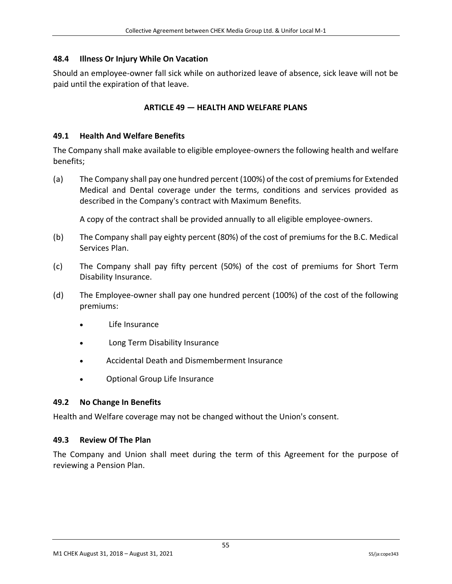## <span id="page-55-0"></span>**48.4 Illness Or Injury While On Vacation**

<span id="page-55-1"></span>Should an employee-owner fall sick while on authorized leave of absence, sick leave will not be paid until the expiration of that leave.

### **ARTICLE 49 — HEALTH AND WELFARE PLANS**

#### <span id="page-55-2"></span>**49.1 Health And Welfare Benefits**

The Company shall make available to eligible employee-owners the following health and welfare benefits;

(a) The Company shall pay one hundred percent (100%) of the cost of premiums for Extended Medical and Dental coverage under the terms, conditions and services provided as described in the Company's contract with Maximum Benefits.

A copy of the contract shall be provided annually to all eligible employee-owners.

- (b) The Company shall pay eighty percent (80%) of the cost of premiums for the B.C. Medical Services Plan.
- (c) The Company shall pay fifty percent (50%) of the cost of premiums for Short Term Disability Insurance.
- (d) The Employee-owner shall pay one hundred percent (100%) of the cost of the following premiums:
	- Life Insurance
	- Long Term Disability Insurance
	- Accidental Death and Dismemberment Insurance
	- Optional Group Life Insurance

#### <span id="page-55-3"></span>**49.2 No Change In Benefits**

Health and Welfare coverage may not be changed without the Union's consent.

#### <span id="page-55-4"></span>**49.3 Review Of The Plan**

The Company and Union shall meet during the term of this Agreement for the purpose of reviewing a Pension Plan.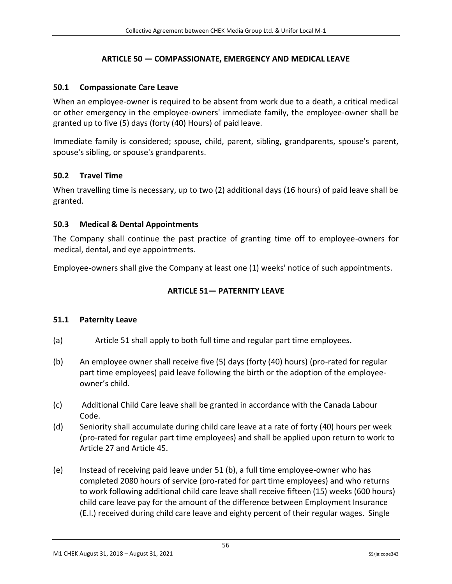# **ARTICLE 50 — COMPASSIONATE, EMERGENCY AND MEDICAL LEAVE**

### <span id="page-56-1"></span><span id="page-56-0"></span>**50.1 Compassionate Care Leave**

When an employee-owner is required to be absent from work due to a death, a critical medical or other emergency in the employee-owners' immediate family, the employee-owner shall be granted up to five (5) days (forty (40) Hours) of paid leave.

Immediate family is considered; spouse, child, parent, sibling, grandparents, spouse's parent, spouse's sibling, or spouse's grandparents.

## <span id="page-56-2"></span>**50.2 Travel Time**

When travelling time is necessary, up to two (2) additional days (16 hours) of paid leave shall be granted.

## <span id="page-56-3"></span>**50.3 Medical & Dental Appointments**

The Company shall continue the past practice of granting time off to employee-owners for medical, dental, and eye appointments.

<span id="page-56-4"></span>Employee-owners shall give the Company at least one (1) weeks' notice of such appointments.

## **ARTICLE 51— PATERNITY LEAVE**

#### <span id="page-56-5"></span>**51.1 Paternity Leave**

- (a) Article 51 shall apply to both full time and regular part time employees.
- (b) An employee owner shall receive five (5) days (forty (40) hours) (pro-rated for regular part time employees) paid leave following the birth or the adoption of the employeeowner's child.
- (c) Additional Child Care leave shall be granted in accordance with the Canada Labour Code.
- (d) Seniority shall accumulate during child care leave at a rate of forty (40) hours per week (pro-rated for regular part time employees) and shall be applied upon return to work to Article 27 and Article 45.
- (e) Instead of receiving paid leave under 51 (b), a full time employee-owner who has completed 2080 hours of service (pro-rated for part time employees) and who returns to work following additional child care leave shall receive fifteen (15) weeks (600 hours) child care leave pay for the amount of the difference between Employment Insurance (E.I.) received during child care leave and eighty percent of their regular wages. Single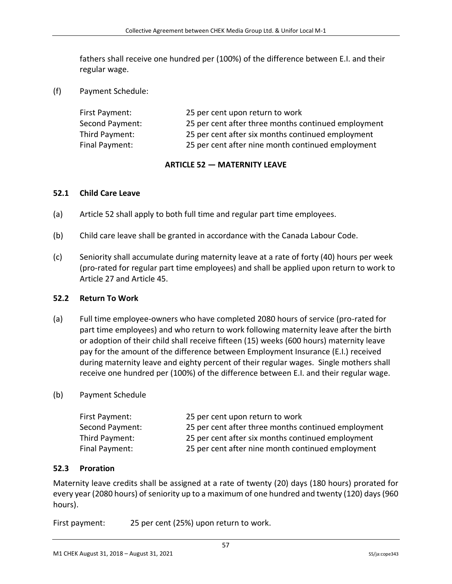fathers shall receive one hundred per (100%) of the difference between E.I. and their regular wage.

(f) Payment Schedule:

| First Payment:  | 25 per cent upon return to work                     |
|-----------------|-----------------------------------------------------|
| Second Payment: | 25 per cent after three months continued employment |
| Third Payment:  | 25 per cent after six months continued employment   |
| Final Payment:  | 25 per cent after nine month continued employment   |

## **ARTICLE 52 — MATERNITY LEAVE**

#### <span id="page-57-1"></span><span id="page-57-0"></span>**52.1 Child Care Leave**

- (a) Article 52 shall apply to both full time and regular part time employees.
- (b) Child care leave shall be granted in accordance with the Canada Labour Code.
- (c) Seniority shall accumulate during maternity leave at a rate of forty (40) hours per week (pro-rated for regular part time employees) and shall be applied upon return to work to Article 27 and Article 45.

#### <span id="page-57-2"></span>**52.2 Return To Work**

(a) Full time employee-owners who have completed 2080 hours of service (pro-rated for part time employees) and who return to work following maternity leave after the birth or adoption of their child shall receive fifteen (15) weeks (600 hours) maternity leave pay for the amount of the difference between Employment Insurance (E.I.) received during maternity leave and eighty percent of their regular wages. Single mothers shall receive one hundred per (100%) of the difference between E.I. and their regular wage.

#### (b) Payment Schedule

| First Payment:  | 25 per cent upon return to work                     |
|-----------------|-----------------------------------------------------|
| Second Payment: | 25 per cent after three months continued employment |
| Third Payment:  | 25 per cent after six months continued employment   |
| Final Payment:  | 25 per cent after nine month continued employment   |

#### <span id="page-57-3"></span>**52.3 Proration**

Maternity leave credits shall be assigned at a rate of twenty (20) days (180 hours) prorated for every year (2080 hours) of seniority up to a maximum of one hundred and twenty (120) days (960 hours).

First payment: 25 per cent (25%) upon return to work.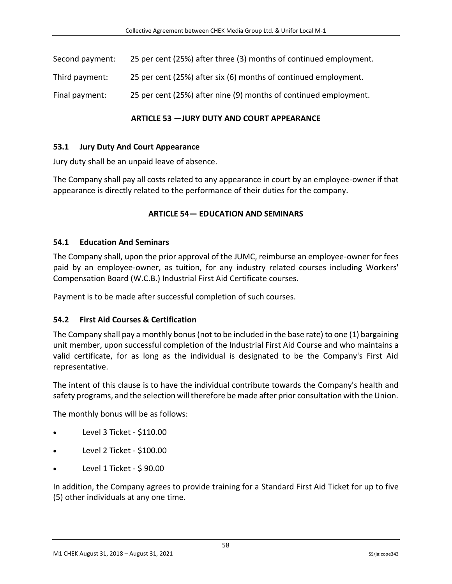| Second payment: | 25 per cent (25%) after three (3) months of continued employment. |
|-----------------|-------------------------------------------------------------------|
|                 |                                                                   |

Third payment: 25 per cent (25%) after six (6) months of continued employment.

<span id="page-58-0"></span>Final payment: 25 per cent (25%) after nine (9) months of continued employment.

#### **ARTICLE 53 —JURY DUTY AND COURT APPEARANCE**

#### <span id="page-58-1"></span>**53.1 Jury Duty And Court Appearance**

Jury duty shall be an unpaid leave of absence.

<span id="page-58-2"></span>The Company shall pay all costs related to any appearance in court by an employee-owner if that appearance is directly related to the performance of their duties for the company.

#### **ARTICLE 54— EDUCATION AND SEMINARS**

#### <span id="page-58-3"></span>**54.1 Education And Seminars**

The Company shall, upon the prior approval of the JUMC, reimburse an employee-owner for fees paid by an employee-owner, as tuition, for any industry related courses including Workers' Compensation Board (W.C.B.) Industrial First Aid Certificate courses.

Payment is to be made after successful completion of such courses.

#### <span id="page-58-4"></span>**54.2 First Aid Courses & Certification**

The Company shall pay a monthly bonus (not to be included in the base rate) to one (1) bargaining unit member, upon successful completion of the Industrial First Aid Course and who maintains a valid certificate, for as long as the individual is designated to be the Company's First Aid representative.

The intent of this clause is to have the individual contribute towards the Company's health and safety programs, and the selection will therefore be made after prior consultation with the Union.

The monthly bonus will be as follows:

- Level 3 Ticket \$110.00
- Level 2 Ticket \$100.00
- Level 1 Ticket \$ 90.00

In addition, the Company agrees to provide training for a Standard First Aid Ticket for up to five (5) other individuals at any one time.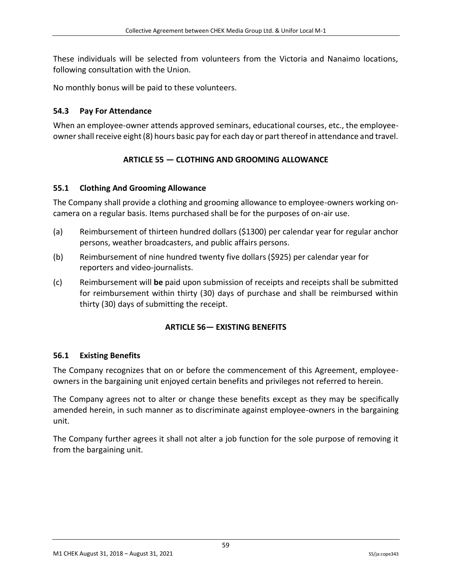These individuals will be selected from volunteers from the Victoria and Nanaimo locations, following consultation with the Union.

No monthly bonus will be paid to these volunteers.

### <span id="page-59-0"></span>**54.3 Pay For Attendance**

<span id="page-59-1"></span>When an employee-owner attends approved seminars, educational courses, etc., the employeeowner shall receive eight (8) hours basic pay for each day or part thereof in attendance and travel.

# **ARTICLE 55 — CLOTHING AND GROOMING ALLOWANCE**

## <span id="page-59-2"></span>**55.1 Clothing And Grooming Allowance**

The Company shall provide a clothing and grooming allowance to employee-owners working oncamera on a regular basis. Items purchased shall be for the purposes of on-air use.

- (a) Reimbursement of thirteen hundred dollars (\$1300) per calendar year for regular anchor persons, weather broadcasters, and public affairs persons.
- (b) Reimbursement of nine hundred twenty five dollars (\$925) per calendar year for reporters and video-journalists.
- <span id="page-59-3"></span>(c) Reimbursement will **be** paid upon submission of receipts and receipts shall be submitted for reimbursement within thirty (30) days of purchase and shall be reimbursed within thirty (30) days of submitting the receipt.

## **ARTICLE 56— EXISTING BENEFITS**

#### <span id="page-59-4"></span>**56.1 Existing Benefits**

The Company recognizes that on or before the commencement of this Agreement, employeeowners in the bargaining unit enjoyed certain benefits and privileges not referred to herein.

The Company agrees not to alter or change these benefits except as they may be specifically amended herein, in such manner as to discriminate against employee-owners in the bargaining unit.

The Company further agrees it shall not alter a job function for the sole purpose of removing it from the bargaining unit.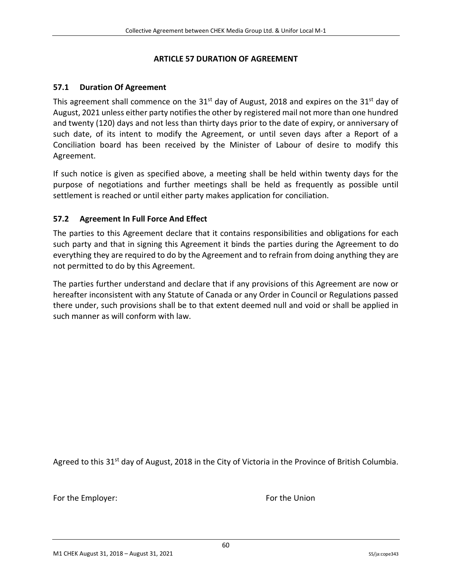#### **ARTICLE 57 DURATION OF AGREEMENT**

#### <span id="page-60-1"></span><span id="page-60-0"></span>**57.1 Duration Of Agreement**

This agreement shall commence on the  $31<sup>st</sup>$  day of August, 2018 and expires on the  $31<sup>st</sup>$  day of August, 2021 unless either party notifies the other by registered mail not more than one hundred and twenty (120) days and not less than thirty days prior to the date of expiry, or anniversary of such date, of its intent to modify the Agreement, or until seven days after a Report of a Conciliation board has been received by the Minister of Labour of desire to modify this Agreement.

If such notice is given as specified above, a meeting shall be held within twenty days for the purpose of negotiations and further meetings shall be held as frequently as possible until settlement is reached or until either party makes application for conciliation.

#### <span id="page-60-2"></span>**57.2 Agreement In Full Force And Effect**

The parties to this Agreement declare that it contains responsibilities and obligations for each such party and that in signing this Agreement it binds the parties during the Agreement to do everything they are required to do by the Agreement and to refrain from doing anything they are not permitted to do by this Agreement.

The parties further understand and declare that if any provisions of this Agreement are now or hereafter inconsistent with any Statute of Canada or any Order in Council or Regulations passed there under, such provisions shall be to that extent deemed null and void or shall be applied in such manner as will conform with law.

Agreed to this 31<sup>st</sup> day of August, 2018 in the City of Victoria in the Province of British Columbia.

For the Employer: The Employer Service Services and The Union Services Services Services Services Services Services Services Services Services Services Services Services Services Services Services Services Services Service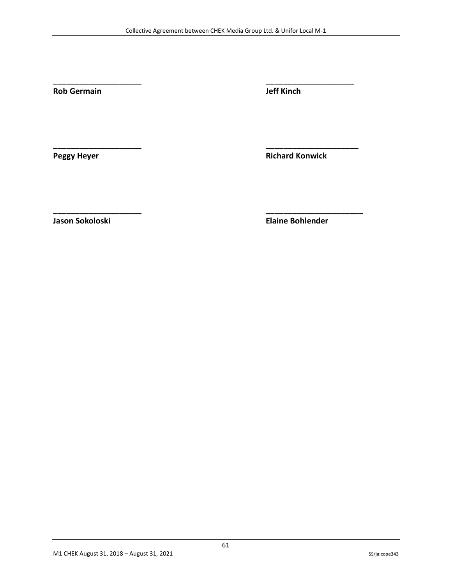**\_\_\_\_\_\_\_\_\_\_\_\_\_\_\_\_\_\_\_\_ \_\_\_\_\_\_\_\_\_\_\_\_\_\_\_\_\_\_\_\_**

**\_\_\_\_\_\_\_\_\_\_\_\_\_\_\_\_\_\_\_\_ \_\_\_\_\_\_\_\_\_\_\_\_\_\_\_\_\_\_\_\_\_**

**\_\_\_\_\_\_\_\_\_\_\_\_\_\_\_\_\_\_\_\_ \_\_\_\_\_\_\_\_\_\_\_\_\_\_\_\_\_\_\_\_\_\_**

**Rob Germain Jeff Kinch**

**Peggy Heyer Richard Konwick** 

**Jason Sokoloski Elaine Bohlender**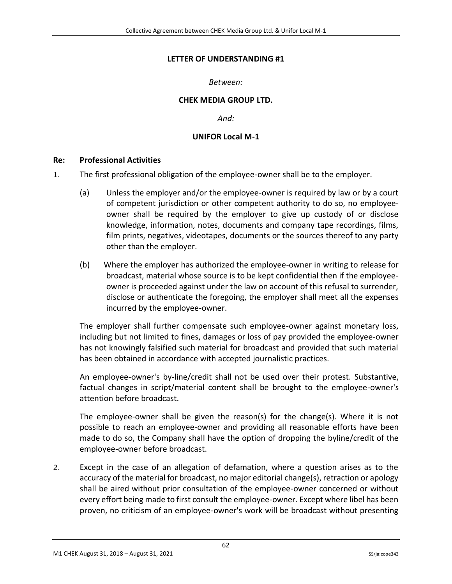#### **LETTER OF UNDERSTANDING #1**

#### *Between:*

#### **CHEK MEDIA GROUP LTD.**

*And:*

#### **UNIFOR Local M-1**

#### <span id="page-62-1"></span><span id="page-62-0"></span>**Re: Professional Activities**

- 1. The first professional obligation of the employee-owner shall be to the employer.
	- (a) Unless the employer and/or the employee-owner is required by law or by a court of competent jurisdiction or other competent authority to do so, no employeeowner shall be required by the employer to give up custody of or disclose knowledge, information, notes, documents and company tape recordings, films, film prints, negatives, videotapes, documents or the sources thereof to any party other than the employer.
	- (b) Where the employer has authorized the employee-owner in writing to release for broadcast, material whose source is to be kept confidential then if the employeeowner is proceeded against under the law on account of this refusal to surrender, disclose or authenticate the foregoing, the employer shall meet all the expenses incurred by the employee-owner.

The employer shall further compensate such employee-owner against monetary loss, including but not limited to fines, damages or loss of pay provided the employee-owner has not knowingly falsified such material for broadcast and provided that such material has been obtained in accordance with accepted journalistic practices.

An employee-owner's by-line/credit shall not be used over their protest. Substantive, factual changes in script/material content shall be brought to the employee-owner's attention before broadcast.

The employee-owner shall be given the reason(s) for the change(s). Where it is not possible to reach an employee-owner and providing all reasonable efforts have been made to do so, the Company shall have the option of dropping the byline/credit of the employee-owner before broadcast.

2. Except in the case of an allegation of defamation, where a question arises as to the accuracy of the material for broadcast, no major editorial change(s), retraction or apology shall be aired without prior consultation of the employee-owner concerned or without every effort being made to first consult the employee-owner. Except where libel has been proven, no criticism of an employee-owner's work will be broadcast without presenting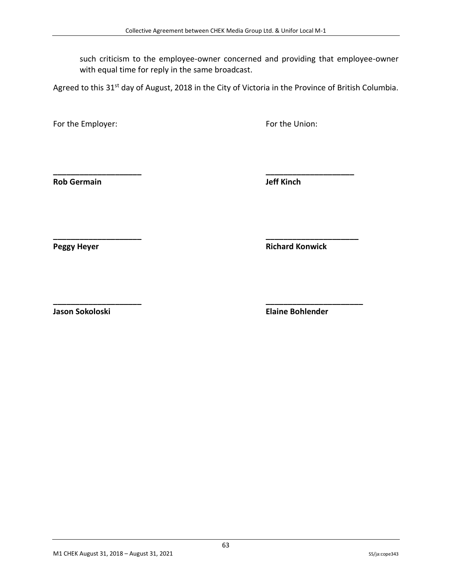such criticism to the employee-owner concerned and providing that employee-owner with equal time for reply in the same broadcast.

Agreed to this 31<sup>st</sup> day of August, 2018 in the City of Victoria in the Province of British Columbia.

**\_\_\_\_\_\_\_\_\_\_\_\_\_\_\_\_\_\_\_\_ \_\_\_\_\_\_\_\_\_\_\_\_\_\_\_\_\_\_\_\_**

**\_\_\_\_\_\_\_\_\_\_\_\_\_\_\_\_\_\_\_\_ \_\_\_\_\_\_\_\_\_\_\_\_\_\_\_\_\_\_\_\_\_**

For the Employer: The Employer: The Union: For the Union:

**Rob Germain Jeff Kinch**

**Peggy Heyer Richard Konwick**

**\_\_\_\_\_\_\_\_\_\_\_\_\_\_\_\_\_\_\_\_ \_\_\_\_\_\_\_\_\_\_\_\_\_\_\_\_\_\_\_\_\_\_ Jason Sokoloski Elaine Bohlender**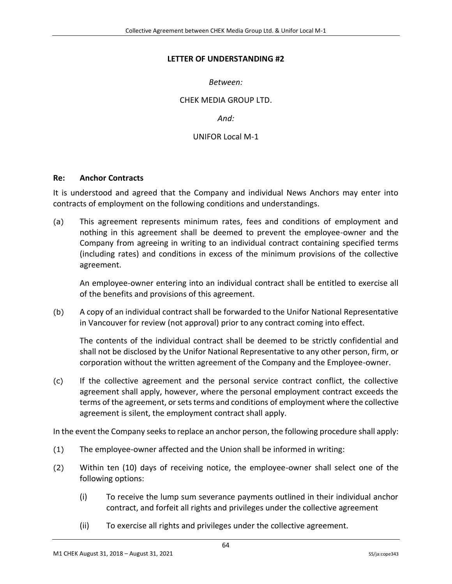#### <span id="page-64-0"></span>**LETTER OF UNDERSTANDING #2**

*Between:*

CHEK MEDIA GROUP LTD.

*And:*

UNIFOR Local M-1

#### <span id="page-64-1"></span>**Re: Anchor Contracts**

It is understood and agreed that the Company and individual News Anchors may enter into contracts of employment on the following conditions and understandings.

(a) This agreement represents minimum rates, fees and conditions of employment and nothing in this agreement shall be deemed to prevent the employee-owner and the Company from agreeing in writing to an individual contract containing specified terms (including rates) and conditions in excess of the minimum provisions of the collective agreement.

An employee-owner entering into an individual contract shall be entitled to exercise all of the benefits and provisions of this agreement.

(b) A copy of an individual contract shall be forwarded to the Unifor National Representative in Vancouver for review (not approval) prior to any contract coming into effect.

The contents of the individual contract shall be deemed to be strictly confidential and shall not be disclosed by the Unifor National Representative to any other person, firm, or corporation without the written agreement of the Company and the Employee-owner.

(c) If the collective agreement and the personal service contract conflict, the collective agreement shall apply, however, where the personal employment contract exceeds the terms of the agreement, or sets terms and conditions of employment where the collective agreement is silent, the employment contract shall apply.

In the event the Company seeks to replace an anchor person, the following procedure shall apply:

- (1) The employee-owner affected and the Union shall be informed in writing:
- (2) Within ten (10) days of receiving notice, the employee-owner shall select one of the following options:
	- (i) To receive the lump sum severance payments outlined in their individual anchor contract, and forfeit all rights and privileges under the collective agreement
	- (ii) To exercise all rights and privileges under the collective agreement.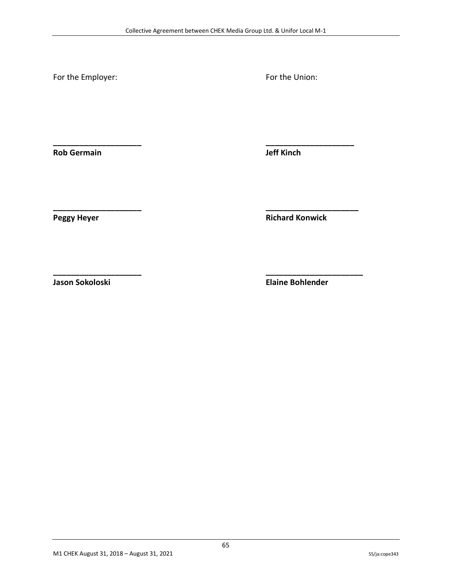**\_\_\_\_\_\_\_\_\_\_\_\_\_\_\_\_\_\_\_\_ \_\_\_\_\_\_\_\_\_\_\_\_\_\_\_\_\_\_\_\_**

**\_\_\_\_\_\_\_\_\_\_\_\_\_\_\_\_\_\_\_\_ \_\_\_\_\_\_\_\_\_\_\_\_\_\_\_\_\_\_\_\_\_**

**\_\_\_\_\_\_\_\_\_\_\_\_\_\_\_\_\_\_\_\_ \_\_\_\_\_\_\_\_\_\_\_\_\_\_\_\_\_\_\_\_\_\_**

For the Employer: The Employer: The Union: For the Union:

**Rob Germain Jeff Kinch**

**Peggy Heyer Richard Konwick**

**Jason Sokoloski Elaine Bohlender**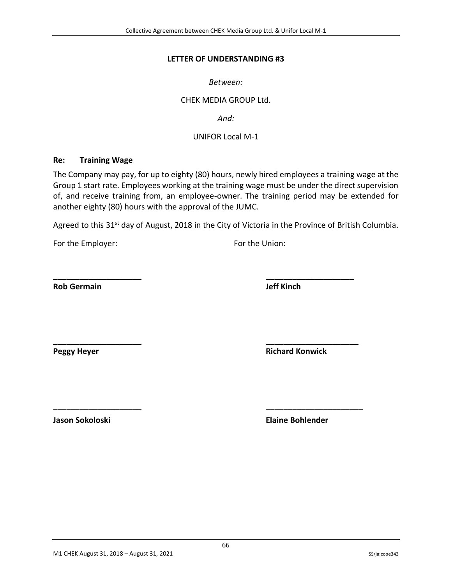#### **LETTER OF UNDERSTANDING #3**

*Between:*

#### CHEK MEDIA GROUP Ltd.

*And:*

#### UNIFOR Local M-1

#### <span id="page-66-1"></span><span id="page-66-0"></span>**Re: Training Wage**

The Company may pay, for up to eighty (80) hours, newly hired employees a training wage at the Group 1 start rate. Employees working at the training wage must be under the direct supervision of, and receive training from, an employee-owner. The training period may be extended for another eighty (80) hours with the approval of the JUMC.

Agreed to this 31<sup>st</sup> day of August, 2018 in the City of Victoria in the Province of British Columbia.

**\_\_\_\_\_\_\_\_\_\_\_\_\_\_\_\_\_\_\_\_ \_\_\_\_\_\_\_\_\_\_\_\_\_\_\_\_\_\_\_\_**

**\_\_\_\_\_\_\_\_\_\_\_\_\_\_\_\_\_\_\_\_ \_\_\_\_\_\_\_\_\_\_\_\_\_\_\_\_\_\_\_\_\_**

**\_\_\_\_\_\_\_\_\_\_\_\_\_\_\_\_\_\_\_\_ \_\_\_\_\_\_\_\_\_\_\_\_\_\_\_\_\_\_\_\_\_\_**

For the Employer: The Employer: For the Union:

**Rob Germain Jeff Kinch**

**Peggy Heyer Richard Konwick**

**Jason Sokoloski Elaine Bohlender**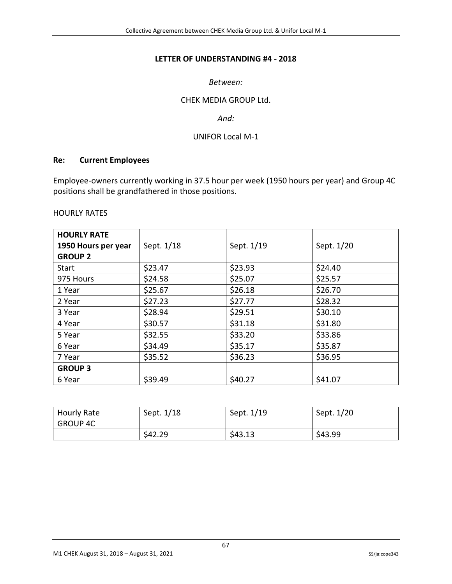#### **LETTER OF UNDERSTANDING #4 - 2018**

#### *Between:*

#### CHEK MEDIA GROUP Ltd.

#### *And:*

#### UNIFOR Local M-1

#### <span id="page-67-1"></span><span id="page-67-0"></span>**Re: Current Employees**

Employee-owners currently working in 37.5 hour per week (1950 hours per year) and Group 4C positions shall be grandfathered in those positions.

#### HOURLY RATES

| <b>HOURLY RATE</b><br>1950 Hours per year<br><b>GROUP 2</b> | Sept. 1/18 | Sept. 1/19 | Sept. 1/20 |
|-------------------------------------------------------------|------------|------------|------------|
| <b>Start</b>                                                | \$23.47    | \$23.93    | \$24.40    |
| 975 Hours                                                   | \$24.58    | \$25.07    | \$25.57    |
| 1 Year                                                      | \$25.67    | \$26.18    | \$26.70    |
| 2 Year                                                      | \$27.23    | \$27.77    | \$28.32    |
| 3 Year                                                      | \$28.94    | \$29.51    | \$30.10    |
| 4 Year                                                      | \$30.57    | \$31.18    | \$31.80    |
| 5 Year                                                      | \$32.55    | \$33.20    | \$33.86    |
| 6 Year                                                      | \$34.49    | \$35.17    | \$35.87    |
| 7 Year                                                      | \$35.52    | \$36.23    | \$36.95    |
| <b>GROUP 3</b>                                              |            |            |            |
| 6 Year                                                      | \$39.49    | \$40.27    | \$41.07    |

| Hourly Rate | Sept. 1/18 | Sept. 1/19 | Sept. 1/20 |
|-------------|------------|------------|------------|
| GROUP 4C    |            |            |            |
|             | \$42.29    | \$43.13    | \$43.99    |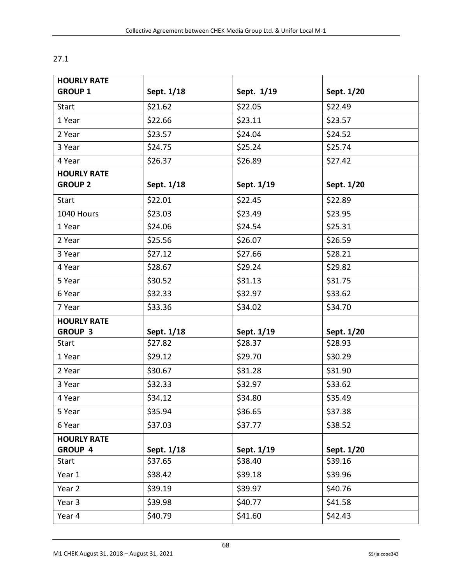| <b>HOURLY RATE</b> |            |            |            |
|--------------------|------------|------------|------------|
| <b>GROUP 1</b>     | Sept. 1/18 | Sept. 1/19 | Sept. 1/20 |
| Start              | \$21.62    | \$22.05    | \$22.49    |
| 1 Year             | \$22.66    | \$23.11    | \$23.57    |
| 2 Year             | \$23.57    | \$24.04    | \$24.52    |
| 3 Year             | \$24.75    | \$25.24    | \$25.74    |
| 4 Year             | \$26.37    | \$26.89    | \$27.42    |
| <b>HOURLY RATE</b> |            |            |            |
| <b>GROUP 2</b>     | Sept. 1/18 | Sept. 1/19 | Sept. 1/20 |
| <b>Start</b>       | \$22.01    | \$22.45    | \$22.89    |
| 1040 Hours         | \$23.03    | \$23.49    | \$23.95    |
| 1 Year             | \$24.06    | \$24.54    | \$25.31    |
| 2 Year             | \$25.56    | \$26.07    | \$26.59    |
| 3 Year             | \$27.12    | \$27.66    | \$28.21    |
| 4 Year             | \$28.67    | \$29.24    | \$29.82    |
| 5 Year             | \$30.52    | \$31.13    | \$31.75    |
| 6 Year             | \$32.33    | \$32.97    | \$33.62    |
| 7 Year             | \$33.36    | \$34.02    | \$34.70    |
| <b>HOURLY RATE</b> |            |            |            |
| <b>GROUP 3</b>     | Sept. 1/18 | Sept. 1/19 | Sept. 1/20 |
| <b>Start</b>       | \$27.82    | \$28.37    | \$28.93    |
| 1 Year             | \$29.12    | \$29.70    | \$30.29    |
| 2 Year             | \$30.67    | \$31.28    | \$31.90    |
| 3 Year             | \$32.33    | \$32.97    | \$33.62    |
| 4 Year             | \$34.12    | \$34.80    | \$35.49    |
| 5 Year             | \$35.94    | \$36.65    | \$37.38    |
| 6 Year             | \$37.03    | \$37.77    | \$38.52    |
| <b>HOURLY RATE</b> |            |            |            |
| <b>GROUP 4</b>     | Sept. 1/18 | Sept. 1/19 | Sept. 1/20 |
| Start              | \$37.65    | \$38.40    | \$39.16    |
| Year 1             | \$38.42    | \$39.18    | \$39.96    |
| Year 2             | \$39.19    | \$39.97    | \$40.76    |
| Year 3             | \$39.98    | \$40.77    | \$41.58    |
| Year 4             | \$40.79    | \$41.60    | \$42.43    |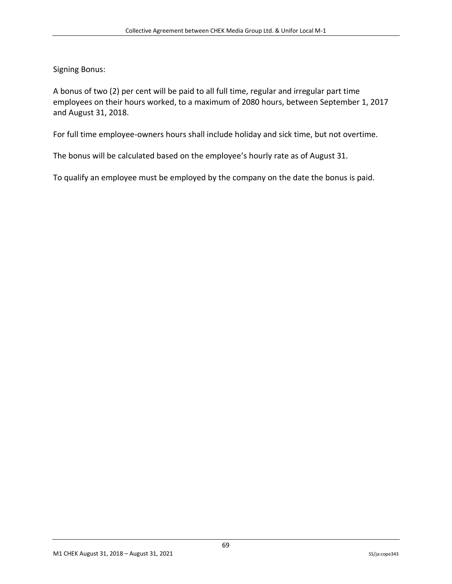Signing Bonus:

A bonus of two (2) per cent will be paid to all full time, regular and irregular part time employees on their hours worked, to a maximum of 2080 hours, between September 1, 2017 and August 31, 2018.

For full time employee-owners hours shall include holiday and sick time, but not overtime.

The bonus will be calculated based on the employee's hourly rate as of August 31.

To qualify an employee must be employed by the company on the date the bonus is paid.